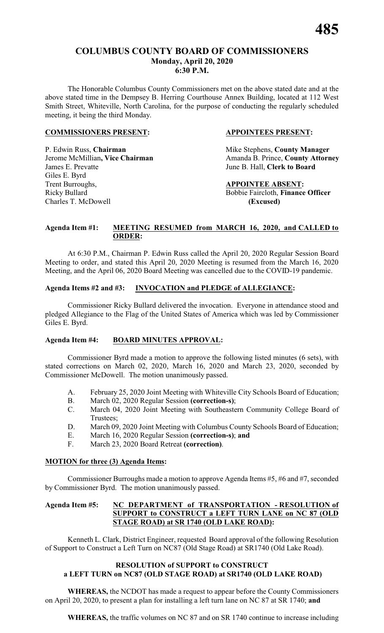#### **COLUMBUS COUNTY BOARD OF COMMISSIONERS Monday, April 20, 2020 6:30 P.M.**

The Honorable Columbus County Commissioners met on the above stated date and at the above stated time in the Dempsey B. Herring Courthouse Annex Building, located at 112 West Smith Street, Whiteville, North Carolina, for the purpose of conducting the regularly scheduled meeting, it being the third Monday.

#### **COMMISSIONERS PRESENT: APPOINTEES PRESENT:**

P. Edwin Russ, **Chairman** Mike Stephens, **County Manager** James E. Prevatte June B. Hall, **Clerk to Board** Giles E. Byrd Trent Burroughs, **APPOINTEE ABSENT:** Ricky Bullard Bobbie Faircloth, **Finance Officer** Charles T. McDowell **(Excused)**

Jerome McMillian, Vice Chairman Amanda B. Prince, County Attorney

#### **Agenda Item #1: MEETING RESUMED from MARCH 16, 2020, and CALLED to ORDER:**

At 6:30 P.M., Chairman P. Edwin Russ called the April 20, 2020 Regular Session Board Meeting to order, and stated this April 20, 2020 Meeting is resumed from the March 16, 2020 Meeting, and the April 06, 2020 Board Meeting was cancelled due to the COVID-19 pandemic.

#### **Agenda Items #2 and #3: INVOCATION and PLEDGE of ALLEGIANCE:**

Commissioner Ricky Bullard delivered the invocation. Everyone in attendance stood and pledged Allegiance to the Flag of the United States of America which was led by Commissioner Giles E. Byrd.

#### **Agenda Item #4: BOARD MINUTES APPROVAL:**

Commissioner Byrd made a motion to approve the following listed minutes (6 sets), with stated corrections on March 02, 2020, March 16, 2020 and March 23, 2020, seconded by Commissioner McDowell. The motion unanimously passed.

- A. February 25, 2020 Joint Meeting with Whiteville City Schools Board of Education;
- B. March 02, 2020 Regular Session **(correction-s)**;
- C. March 04, 2020 Joint Meeting with Southeastern Community College Board of Trustees;
- D. March 09, 2020 Joint Meeting with Columbus County Schools Board of Education;
- E. March 16, 2020 Regular Session **(correction-s)**; **and**
- F. March 23, 2020 Board Retreat **(correction)**.

#### **MOTION for three (3) Agenda Items:**

Commissioner Burroughs made a motion to approve Agenda Items #5, #6 and #7, seconded by Commissioner Byrd. The motion unanimously passed.

#### **Agenda Item #5: NC DEPARTMENT of TRANSPORTATION - RESOLUTION of SUPPORT to CONSTRUCT a LEFT TURN LANE on NC 87 (OLD STAGE ROAD) at SR 1740 (OLD LAKE ROAD):**

Kenneth L. Clark, District Engineer, requested Board approval of the following Resolution of Support to Construct a Left Turn on NC87 (Old Stage Road) at SR1740 (Old Lake Road).

#### **RESOLUTION of SUPPORT to CONSTRUCT a LEFT TURN on NC87 (OLD STAGE ROAD) at SR1740 (OLD LAKE ROAD)**

**WHEREAS,** the NCDOT has made a request to appear before the County Commissioners on April 20, 2020, to present a plan for installing a left turn lane on NC 87 at SR 1740; **and**

**WHEREAS,** the traffic volumes on NC 87 and on SR 1740 continue to increase including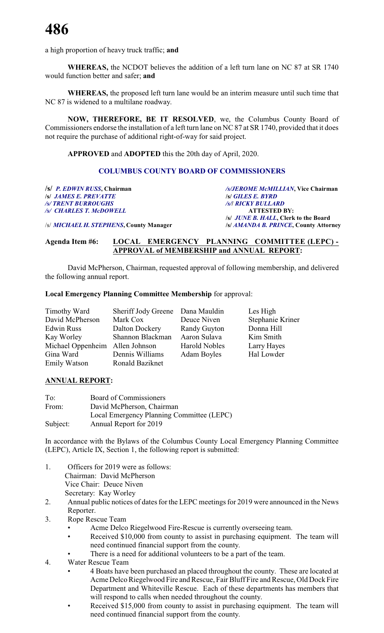a high proportion of heavy truck traffic; **and**

**WHEREAS,** the NCDOT believes the addition of a left turn lane on NC 87 at SR 1740 would function better and safer; **and**

**WHEREAS,** the proposed left turn lane would be an interim measure until such time that NC 87 is widened to a multilane roadway.

**NOW, THEREFORE, BE IT RESOLVED**, we, the Columbus County Board of Commissioners endorse the installation of a left turn lane on NC 87 at SR 1740, provided that it does not require the purchase of additional right-of-way for said project.

**APPROVED** and **ADOPTED** this the 20th day of April, 2020.

#### **COLUMBUS COUNTY BOARD OF COMMISSIONERS**

*/s/ JAMES E. PREVATTE /s/ TRENT BURROUGHS /s/ CHARLES T. McDOWELL* **ATTESTED BY:**

**/s/** *P. EDWIN RUSS***, Chairman** */s/JEROME McMILLIAN***, Vice Chairman** */s/ TRENT BURROUGHS /s/***/** *RICKY BULLARD* **/s/** *JUNE B. HALL***, Clerk to the Board**

/s/ *MICHAEL H. STEPHENS***, County Manager /s/** *AMANDA B. PRINCE***, County Attorney**

#### **Agenda Item #6: LOCAL EMERGENCY PLANNING COMMITTEE (LEPC) - APPROVAL of MEMBERSHIP and ANNUAL REPORT:**

David McPherson, Chairman, requested approval of following membership, and delivered the following annual report.

#### **Local Emergency Planning Committee Membership** for approval:

| Timothy Ward                    | Sheriff Jody Greene Dana Mauldin |                      | Les High         |
|---------------------------------|----------------------------------|----------------------|------------------|
| David McPherson                 | Mark Cox                         | Deuce Niven          | Stephanie Kriner |
| <b>Edwin Russ</b>               | Dalton Dockery                   | <b>Randy Guyton</b>  | Donna Hill       |
| Kay Worley                      | Shannon Blackman                 | Aaron Sulava         | Kim Smith        |
| Michael Oppenheim Allen Johnson |                                  | <b>Harold Nobles</b> | Larry Hayes      |
| Gina Ward                       | Dennis Williams                  | <b>Adam Boyles</b>   | Hal Lowder       |
| <b>Emily Watson</b>             | Ronald Baziknet                  |                      |                  |

#### **ANNUAL REPORT:**

| To:      | Board of Commissioners                    |
|----------|-------------------------------------------|
| From:    | David McPherson, Chairman                 |
|          | Local Emergency Planning Committee (LEPC) |
| Subject: | Annual Report for 2019                    |

In accordance with the Bylaws of the Columbus County Local Emergency Planning Committee (LEPC), Article IX, Section 1, the following report is submitted:

- 1. Officers for 2019 were as follows: Chairman: David McPherson Vice Chair: Deuce Niven Secretary: Kay Worley
- 2. Annual public notices of dates for the LEPC meetings for 2019 were announced in the News Reporter.
- 3. Rope Rescue Team
	- Acme Delco Riegelwood Fire-Rescue is currently overseeing team.
	- Received \$10,000 from county to assist in purchasing equipment. The team will need continued financial support from the county.
	- There is a need for additional volunteers to be a part of the team.
- 4. Water Rescue Team
	- 4 Boats have been purchased an placed throughout the county. These are located at Acme Delco Riegelwood Fire and Rescue, Fair Bluff Fire and Rescue, Old Dock Fire Department and Whiteville Rescue. Each of these departments has members that will respond to calls when needed throughout the county.
	- Received \$15,000 from county to assist in purchasing equipment. The team will need continued financial support from the county.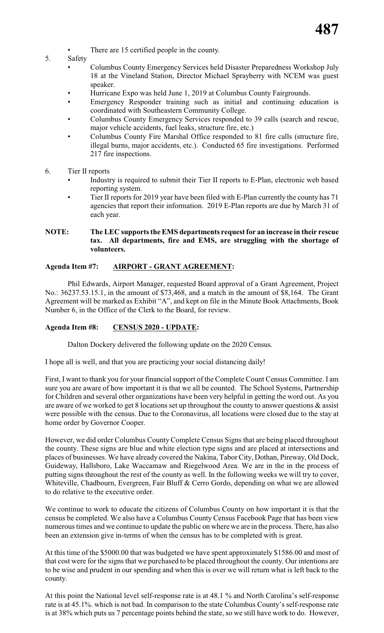- There are 15 certified people in the county.
- 5. Safety
	- Columbus County Emergency Services held Disaster Preparedness Workshop July 18 at the Vineland Station, Director Michael Sprayberry with NCEM was guest speaker.
	- Hurricane Expo was held June 1, 2019 at Columbus County Fairgrounds.
	- Emergency Responder training such as initial and continuing education is coordinated with Southeastern Community College.
	- Columbus County Emergency Services responded to 39 calls (search and rescue, major vehicle accidents, fuel leaks, structure fire, etc.)
	- Columbus County Fire Marshal Office responded to 81 fire calls (structure fire, illegal burns, major accidents, etc.). Conducted 65 fire investigations. Performed 217 fire inspections.
- 6. Tier II reports
	- Industry is required to submit their Tier II reports to E-Plan, electronic web based reporting system.
	- Tier II reports for 2019 year have been filed with E-Plan currently the county has 71 agencies that report their information. 2019 E-Plan reports are due by March 31 of each year.

#### **NOTE: The LEC supports the EMS departments request for an increase in their rescue tax. All departments, fire and EMS, are struggling with the shortage of volunteers.**

#### **Agenda Item #7: AIRPORT - GRANT AGREEMENT:**

Phil Edwards, Airport Manager, requested Board approval of a Grant Agreement, Project No.: 36237.53.15.1, in the amount of \$73,468, and a match in the amount of \$8,164. The Grant Agreement will be marked as Exhibit "A", and kept on file in the Minute Book Attachments, Book Number 6, in the Office of the Clerk to the Board, for review.

#### **Agenda Item #8: CENSUS 2020 - UPDATE:**

Dalton Dockery delivered the following update on the 2020 Census.

I hope all is well, and that you are practicing your social distancing daily!

First, I want to thank you for your financial support of the Complete Count Census Committee. I am sure you are aware of how important it is that we all be counted. The School Systems, Partnership for Children and several other organizations have been very helpful in getting the word out. As you are aware of we worked to get 8 locations set up throughout the county to answer questions & assist were possible with the census. Due to the Coronavirus, all locations were closed due to the stay at home order by Governor Cooper.

However, we did order Columbus County Complete Census Signs that are being placed throughout the county. These signs are blue and white election type signs and are placed at intersections and places of businesses. We have already covered the Nakina, Tabor City, Dothan, Pireway, Old Dock, Guideway, Hallsboro, Lake Waccamaw and Riegelwood Area. We are in the in the process of putting signs throughout the rest of the county as well. In the following weeks we will try to cover, Whiteville, Chadbourn, Evergreen, Fair Bluff & Cerro Gordo, depending on what we are allowed to do relative to the executive order.

We continue to work to educate the citizens of Columbus County on how important it is that the census be completed. We also have a Columbus County Census Facebook Page that has been view numerous times and we continue to update the public on where we are in the process. There, has also been an extension give in-terms of when the census has to be completed with is great.

At this time of the \$5000.00 that was budgeted we have spent approximately \$1586.00 and most of that cost were for the signs that we purchased to be placed throughout the county. Our intentions are to be wise and prudent in our spending and when this is over we will return what is left back to the county.

At this point the National level self-response rate is at 48.1 % and North Carolina's self-response rate is at 45.1%. which is not bad. In comparison to the state Columbus County's self-response rate is at 38% which puts us 7 percentage points behind the state, so we still have work to do. However,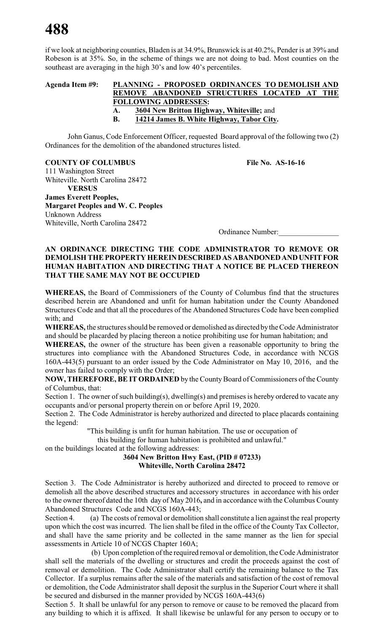if we look at neighboring counties, Bladen is at 34.9%, Brunswick is at 40.2%, Pender is at 39% and Robeson is at 35%. So, in the scheme of things we are not doing to bad. Most counties on the southeast are averaging in the high 30's and low 40's percentiles.

#### **Agenda Item #9: PLANNING - PROPOSED ORDINANCES TO DEMOLISH AND REMOVE ABANDONED STRUCTURES LOCATED AT THE FOLLOWING ADDRESSES: A. 3604 New Britton Highway, Whiteville;** and **B. 14214 James B. White Highway, Tabor City.**

John Ganus, Code Enforcement Officer, requested Board approval of the following two (2) Ordinances for the demolition of the abandoned structures listed.

#### **COUNTY OF COLUMBUS File No. AS-16-16**

111 Washington Street Whiteville. North Carolina 28472 **VERSUS James Everett Peoples, Margaret Peoples and W. C. Peoples** Unknown Address Whiteville, North Carolina 28472

Ordinance Number:\_\_\_\_\_\_\_\_\_\_\_\_\_\_\_\_

#### **AN ORDINANCE DIRECTING THE CODE ADMINISTRATOR TO REMOVE OR DEMOLISH THE PROPERTY HEREINDESCRIBEDASABANDONEDANDUNFITFOR HUMAN HABITATION AND DIRECTING THAT A NOTICE BE PLACED THEREON THAT THE SAME MAY NOT BE OCCUPIED**

**WHEREAS,** the Board of Commissioners of the County of Columbus find that the structures described herein are Abandoned and unfit for human habitation under the County Abandoned Structures Code and that all the procedures of the Abandoned Structures Code have been complied with; and

**WHEREAS,** the structures should be removed or demolished as directed bythe Code Administrator and should be placarded by placing thereon a notice prohibiting use for human habitation; and

**WHEREAS,** the owner of the structure has been given a reasonable opportunity to bring the structures into compliance with the Abandoned Structures Code, in accordance with NCGS 160A-443(5) pursuant to an order issued by the Code Administrator on May 10, 2016, and the owner has failed to comply with the Order;

NOW, THEREFORE, BE IT ORDAINED by the County Board of Commissioners of the County of Columbus, that:

Section 1. The owner of such building(s), dwelling(s) and premises is hereby ordered to vacate any occupants and/or personal property therein on or before April 19, 2020.

Section 2. The Code Administrator is hereby authorized and directed to place placards containing the legend:

"This building is unfit for human habitation. The use or occupation of

this building for human habitation is prohibited and unlawful."

on the buildings located at the following addresses:

#### **3604 New Britton Hwy East, (PID # 07233) Whiteville, North Carolina 28472**

Section 3. The Code Administrator is hereby authorized and directed to proceed to remove or demolish all the above described structures and accessory structures in accordance with his order to the owner thereof dated the 10th day of May 2016**,** and in accordance with the Columbus County Abandoned Structures Code and NCGS 160A-443;

Section 4. (a) The costs of removal or demolition shall constitute a lien against the real property upon which the cost was incurred. The lien shall be filed in the office of the County Tax Collector, and shall have the same priority and be collected in the same manner as the lien for special assessments in Article 10 of NCGS Chapter 160A;

(b) Upon completion of the required removal or demolition, the Code Administrator shall sell the materials of the dwelling or structures and credit the proceeds against the cost of removal or demolition. The Code Administrator shall certify the remaining balance to the Tax Collector. If a surplus remains after the sale of the materials and satisfaction of the cost of removal or demolition, the Code Administrator shall deposit the surplus in the Superior Court where it shall be secured and disbursed in the manner provided by NCGS 160A-443(6)

Section 5. It shall be unlawful for any person to remove or cause to be removed the placard from any building to which it is affixed. It shall likewise be unlawful for any person to occupy or to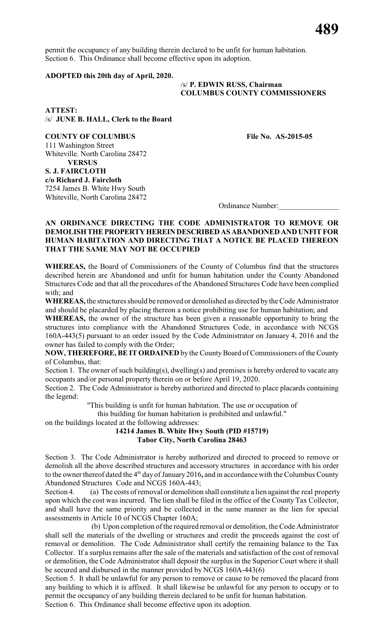permit the occupancy of any building therein declared to be unfit for human habitation. Section 6. This Ordinance shall become effective upon its adoption.

#### **ADOPTED this 20th day of April, 2020.**

#### /s/ **P. EDWIN RUSS, Chairman COLUMBUS COUNTY COMMISSIONERS**

**ATTEST:** /s/ **JUNE B. HALL, Clerk to the Board**

**COUNTY OF COLUMBUS File No. AS-2015-05** 111 Washington Street Whiteville. North Carolina 28472 **VERSUS S. J. FAIRCLOTH c/o Richard J. Faircloth** 7254 James B. White Hwy South Whiteville, North Carolina 28472

Ordinance Number:\_\_\_\_\_\_\_\_\_\_\_\_\_\_\_\_

#### **AN ORDINANCE DIRECTING THE CODE ADMINISTRATOR TO REMOVE OR DEMOLISHTHEPROPERTYHEREINDESCRIBEDASABANDONED AND UNFIT FOR HUMAN HABITATION AND DIRECTING THAT A NOTICE BE PLACED THEREON THAT THE SAME MAY NOT BE OCCUPIED**

**WHEREAS,** the Board of Commissioners of the County of Columbus find that the structures described herein are Abandoned and unfit for human habitation under the County Abandoned Structures Code and that all the procedures of the Abandoned Structures Code have been complied with; and

**WHEREAS,** the structures should be removed or demolished as directed by the Code Administrator and should be placarded by placing thereon a notice prohibiting use for human habitation; and

**WHEREAS,** the owner of the structure has been given a reasonable opportunity to bring the structures into compliance with the Abandoned Structures Code, in accordance with NCGS 160A-443(5) pursuant to an order issued by the Code Administrator on January 4, 2016 and the owner has failed to comply with the Order;

NOW, THEREFORE, BE IT ORDAINED by the County Board of Commissioners of the County of Columbus, that:

Section 1. The owner of such building(s), dwelling(s) and premises is hereby ordered to vacate any occupants and/or personal property therein on or before April 19, 2020.

Section 2. The Code Administrator is hereby authorized and directed to place placards containing the legend:

"This building is unfit for human habitation. The use or occupation of

this building for human habitation is prohibited and unlawful."

on the buildings located at the following addresses:

#### **14214 James B. White Hwy South (PID #15719) Tabor City, North Carolina 28463**

Section 3. The Code Administrator is hereby authorized and directed to proceed to remove or demolish all the above described structures and accessory structures in accordance with his order to the owner thereof dated the 4<sup>th</sup> day of January 2016, and in accordance with the Columbus County Abandoned Structures Code and NCGS 160A-443;

Section 4. (a) The costs of removal or demolition shall constitute a lien against the real property upon which the cost was incurred. The lien shall be filed in the office of the County Tax Collector, and shall have the same priority and be collected in the same manner as the lien for special assessments in Article 10 of NCGS Chapter 160A;

(b) Upon completion of the required removal or demolition, the Code Administrator shall sell the materials of the dwelling or structures and credit the proceeds against the cost of removal or demolition. The Code Administrator shall certify the remaining balance to the Tax Collector. If a surplus remains after the sale of the materials and satisfaction of the cost of removal or demolition, the Code Administrator shall deposit the surplus in the Superior Court where it shall be secured and disbursed in the manner provided by NCGS 160A-443(6)

Section 5. It shall be unlawful for any person to remove or cause to be removed the placard from any building to which it is affixed. It shall likewise be unlawful for any person to occupy or to permit the occupancy of any building therein declared to be unfit for human habitation. Section 6. This Ordinance shall become effective upon its adoption.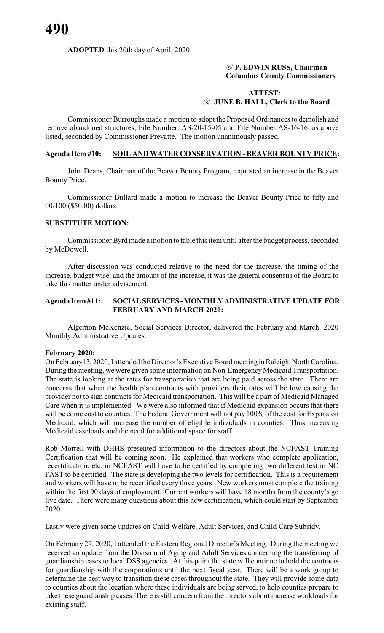#### **ADOPTED** this 20th day of April, 2020.

#### /s/ **P. EDWIN RUSS, Chairman Columbus County Commissioners**

#### **ATTEST:** /s/ **JUNE B. HALL, Clerk to the Board**

Commissioner Burroughs made a motion to adopt the Proposed Ordinances to demolish and remove abandoned structures, File Number: AS-20-15-05 and File Number AS-16-16, as above listed, seconded by Commissioner Prevatte. The motion unanimously passed.

#### **Agenda Item #10: SOIL AND WATER CONSERVATION - BEAVER BOUNTY PRICE:**

John Deans, Chairman of the Beaver Bounty Program, requested an increase in the Beaver Bounty Price.

Commissioner Bullard made a motion to increase the Beaver Bounty Price to fifty and 00/100 (\$50.00) dollars.

#### **SUBSTITUTE MOTION:**

Commissioner Byrd made a motion to table this item until after the budget process, seconded by McDowell.

After discussion was conducted relative to the need for the increase, the timing of the increase, budget wise, and the amount of the increase, it was the general consensus of the Board to take this matter under advisement.

#### **Agenda Item#11: SOCIALSERVICES -MONTHLYADMINISTRATIVE UPDATE FOR FEBRUARY AND MARCH 2020:**

Algernon McKenzie, Social Services Director, delivered the February and March, 2020 Monthly Administrative Updates.

#### **February 2020:**

On February13, 2020, I attended the Director's Executive Board meeting in Raleigh, North Carolina. During the meeting, we were given some information on Non-Emergency Medicaid Transportation. The state is looking at the rates for transportation that are being paid across the state. There are concerns that when the health plan contracts with providers their rates will be low causing the provider not to sign contracts for Medicaid transportation. This will be a part of Medicaid Managed Care when it is implemented. We were also informed that if Medicaid expansion occurs that there will be come cost to counties. The Federal Government will not pay 100% of the cost for Expansion Medicaid, which will increase the number of eligible individuals in counties. Thus increasing Medicaid caseloads and the need for additional space for staff.

Rob Morrell with DHHS presented information to the directors about the NCFAST Training Certification that will be coming soon. He explained that workers who complete application, recertification, etc. in NCFAST will have to be certified by completing two different test in NC FAST to be certified. The state is developing the two levels for certification. This is a requirement and workers will have to be recertified every three years. New workers must complete the training within the first 90 days of employment. Current workers will have 18 months from the county's go live date. There were many questions about this new certification, which could start by September 2020.

Lastly were given some updates on Child Welfare, Adult Services, and Child Care Subsidy.

On February 27, 2020, I attended the Eastern Regional Director's Meeting. During the meeting we received an update from the Division of Aging and Adult Services concerning the transferring of guardianship cases to local DSS agencies. At this point the state will continue to hold the contracts for guardianship with the corporations until the next fiscal year. There will be a work group to determine the best way to transition these cases throughout the state. They will provide some data to counties about the location where these individuals are being served, to help counties prepare to take these guardianship cases. There is still concern from the directors about increase workloads for existing staff.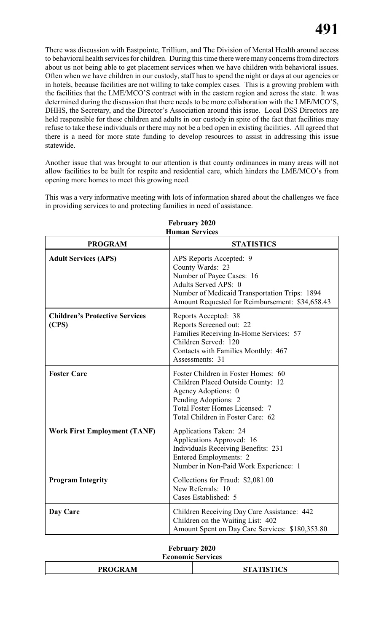There was discussion with Eastpointe, Trillium, and The Division of Mental Health around access to behavioral health services for children. During this time there were many concerns from directors about us not being able to get placement services when we have children with behavioral issues. Often when we have children in our custody, staff has to spend the night or days at our agencies or in hotels, because facilities are not willing to take complex cases. This is a growing problem with the facilities that the LME/MCO'S contract with in the eastern region and across the state. It was determined during the discussion that there needs to be more collaboration with the LME/MCO'S, DHHS, the Secretary, and the Director's Association around this issue. Local DSS Directors are held responsible for these children and adults in our custody in spite of the fact that facilities may refuse to take these individuals or there may not be a bed open in existing facilities. All agreed that there is a need for more state funding to develop resources to assist in addressing this issue statewide.

Another issue that was brought to our attention is that county ordinances in many areas will not allow facilities to be built for respite and residential care, which hinders the LME/MCO's from opening more homes to meet this growing need.

This was a very informative meeting with lots of information shared about the challenges we face in providing services to and protecting families in need of assistance.

| <b>PROGRAM</b>                                 | <b>STATISTICS</b>                                                                                                                                                                                      |
|------------------------------------------------|--------------------------------------------------------------------------------------------------------------------------------------------------------------------------------------------------------|
| <b>Adult Services (APS)</b>                    | APS Reports Accepted: 9<br>County Wards: 23<br>Number of Payee Cases: 16<br>Adults Served APS: 0<br>Number of Medicaid Transportation Trips: 1894<br>Amount Requested for Reimbursement: \$34,658.43   |
| <b>Children's Protective Services</b><br>(CPS) | Reports Accepted: 38<br>Reports Screened out: 22<br>Families Receiving In-Home Services: 57<br>Children Served: 120<br>Contacts with Families Monthly: 467<br>Assessments: 31                          |
| <b>Foster Care</b>                             | Foster Children in Foster Homes: 60<br>Children Placed Outside County: 12<br>Agency Adoptions: 0<br>Pending Adoptions: 2<br><b>Total Foster Homes Licensed: 7</b><br>Total Children in Foster Care: 62 |
| <b>Work First Employment (TANF)</b>            | Applications Taken: 24<br>Applications Approved: 16<br><b>Individuals Receiving Benefits: 231</b><br>Entered Employments: 2<br>Number in Non-Paid Work Experience: 1                                   |
| <b>Program Integrity</b>                       | Collections for Fraud: \$2,081.00<br>New Referrals: 10<br>Cases Established: 5                                                                                                                         |
| Day Care                                       | Children Receiving Day Care Assistance: 442<br>Children on the Waiting List: 402<br>Amount Spent on Day Care Services: \$180,353.80                                                                    |

**February 2020 Human Services**

### **February 2020**

#### **Economic Services**

|  | <b>PROGRAM</b> | <b>STATISTICS</b> |
|--|----------------|-------------------|
|--|----------------|-------------------|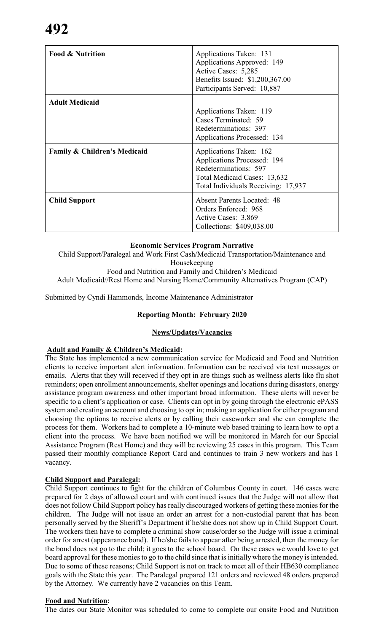| <b>Food &amp; Nutrition</b>             | Applications Taken: 131<br>Applications Approved: 149<br>Active Cases: 5,285<br>Benefits Issued: \$1,200,367.00<br>Participants Served: 10,887                |
|-----------------------------------------|---------------------------------------------------------------------------------------------------------------------------------------------------------------|
| <b>Adult Medicaid</b>                   | Applications Taken: 119<br>Cases Terminated: 59<br>Redeterminations: 397<br>Applications Processed: 134                                                       |
| <b>Family &amp; Children's Medicaid</b> | Applications Taken: 162<br><b>Applications Processed: 194</b><br>Redeterminations: 597<br>Total Medicaid Cases: 13,632<br>Total Individuals Receiving: 17,937 |
| <b>Child Support</b>                    | <b>Absent Parents Located: 48</b><br>Orders Enforced: 968<br>Active Cases: 3,869<br>Collections: \$409,038.00                                                 |

#### **Economic Services Program Narrative**

Child Support/Paralegal and Work First Cash/Medicaid Transportation/Maintenance and Housekeeping

Food and Nutrition and Family and Children's Medicaid Adult Medicaid//Rest Home and Nursing Home/Community Alternatives Program (CAP)

Submitted by Cyndi Hammonds, Income Maintenance Administrator

#### **Reporting Month: February 2020**

#### **News/Updates/Vacancies**

#### **Adult and Family & Children's Medicaid:**

The State has implemented a new communication service for Medicaid and Food and Nutrition clients to receive important alert information. Information can be received via text messages or emails. Alerts that they will received if they opt in are things such as wellness alerts like flu shot reminders; open enrollment announcements, shelter openings and locations during disasters, energy assistance program awareness and other important broad information. These alerts will never be specific to a client's application or case. Clients can opt in by going through the electronic ePASS system and creating an account and choosing to opt in; making an application for either program and choosing the options to receive alerts or by calling their caseworker and she can complete the process for them. Workers had to complete a 10-minute web based training to learn how to opt a client into the process. We have been notified we will be monitored in March for our Special Assistance Program (Rest Home) and they will be reviewing 25 cases in this program. This Team passed their monthly compliance Report Card and continues to train 3 new workers and has 1 vacancy.

#### **Child Support and Paralegal:**

Child Support continues to fight for the children of Columbus County in court. 146 cases were prepared for 2 days of allowed court and with continued issues that the Judge will not allow that does not follow Child Support policy has really discouraged workers of getting these monies for the children. The Judge will not issue an order an arrest for a non-custodial parent that has been personally served by the Sheriff's Department if he/she does not show up in Child Support Court. The workers then have to complete a criminal show cause/order so the Judge will issue a criminal order for arrest (appearance bond). If he/she fails to appear after being arrested, then the money for the bond does not go to the child; it goes to the school board. On these cases we would love to get board approval for these monies to go to the child since that is initially where the money is intended. Due to some of these reasons; Child Support is not on track to meet all of their HB630 compliance goals with the State this year. The Paralegal prepared 121 orders and reviewed 48 orders prepared by the Attorney. We currently have 2 vacancies on this Team.

#### **Food and Nutrition:**

The dates our State Monitor was scheduled to come to complete our onsite Food and Nutrition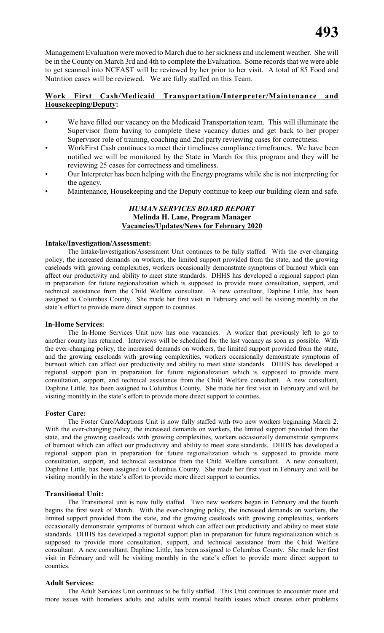Management Evaluation were moved to March due to her sickness and inclement weather. She will be in the County on March 3rd and 4th to complete the Evaluation. Some records that we were able to get scanned into NCFAST will be reviewed by her prior to her visit. A total of 85 Food and Nutrition cases will be reviewed. We are fully staffed on this Team.

#### **Work First Cash/Medicaid Transportation/Interpreter/Maintenance and Housekeeping/Deputy:**

- We have filled our vacancy on the Medicaid Transportation team. This will illuminate the Supervisor from having to complete these vacancy duties and get back to her proper Supervisor role of training, coaching and 2nd party reviewing cases for correctness.
- WorkFirst Cash continues to meet their timeliness compliance timeframes. We have been notified we will be monitored by the State in March for this program and they will be reviewing 25 cases for correctness and timeliness.
- Our Interpreter has been helping with the Energy programs while she is not interpreting for the agency.
- Maintenance, Housekeeping and the Deputy continue to keep our building clean and safe.

#### *HUMAN SERVICES BOARD REPORT* **Melinda H. Lane, Program Manager Vacancies/Updates/News for February 2020**

#### **Intake/Investigation/Assessment:**

The Intake/Investigation/Assessment Unit continues to be fully staffed. With the ever-changing policy, the increased demands on workers, the limited support provided from the state, and the growing caseloads with growing complexities, workers occasionally demonstrate symptoms of burnout which can affect our productivity and ability to meet state standards. DHHS has developed a regional support plan in preparation for future regionalization which is supposed to provide more consultation, support, and technical assistance from the Child Welfare consultant. A new consultant, Daphine Little, has been assigned to Columbus County. She made her first visit in February and will be visiting monthly in the state's effort to provide more direct support to counties.

#### **In-Home Services:**

The In-Home Services Unit now has one vacancies. A worker that previously left to go to another county has returned. Interviews will be scheduled for the last vacancy as soon as possible. With the ever-changing policy, the increased demands on workers, the limited support provided from the state, and the growing caseloads with growing complexities, workers occasionally demonstrate symptoms of burnout which can affect our productivity and ability to meet state standards. DHHS has developed a regional support plan in preparation for future regionalization which is supposed to provide more consultation, support, and technical assistance from the Child Welfare consultant. A new consultant, Daphine Little, has been assigned to Columbus County. She made her first visit in February and will be visiting monthly in the state's effort to provide more direct support to counties.

#### **Foster Care:**

The Foster Care/Adoptions Unit is now fully staffed with two new workers beginning March 2. With the ever-changing policy, the increased demands on workers, the limited support provided from the state, and the growing caseloads with growing complexities, workers occasionally demonstrate symptoms of burnout which can affect our productivity and ability to meet state standards. DHHS has developed a regional support plan in preparation for future regionalization which is supposed to provide more consultation, support, and technical assistance from the Child Welfare consultant. A new consultant, Daphine Little, has been assigned to Columbus County. She made her first visit in February and will be visiting monthly in the state's effort to provide more direct support to counties.

#### **Transitional Unit:**

The Transitional unit is now fully staffed. Two new workers began in February and the fourth begins the first week of March. With the ever-changing policy, the increased demands on workers, the limited support provided from the state, and the growing caseloads with growing complexities, workers occasionally demonstrate symptoms of burnout which can affect our productivity and ability to meet state standards. DHHS has developed a regional support plan in preparation for future regionalization which is supposed to provide more consultation, support, and technical assistance from the Child Welfare consultant. A new consultant, Daphine Little, has been assigned to Columbus County. She made her first visit in February and will be visiting monthly in the state's effort to provide more direct support to counties.

#### **Adult Services:**

The Adult Services Unit continues to be fully staffed. This Unit continues to encounter more and more issues with homeless adults and adults with mental health issues which creates other problems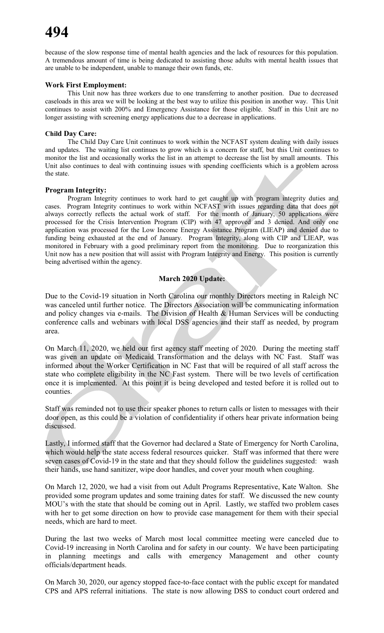because of the slow response time of mental health agencies and the lack of resources for this population. A tremendous amount of time is being dedicated to assisting those adults with mental health issues that are unable to be independent, unable to manage their own funds, etc.

#### **Work First Employment:**

This Unit now has three workers due to one transferring to another position. Due to decreased caseloads in this area we will be looking at the best way to utilize this position in another way. This Unit continues to assist with 200% and Emergency Assistance for those eligible. Staff in this Unit are no longer assisting with screening energy applications due to a decrease in applications.

#### **Child Day Care:**

The Child Day Care Unit continues to work within the NCFAST system dealing with daily issues and updates. The waiting list continues to grow which is a concern for staff, but this Unit continues to monitor the list and occasionally works the list in an attempt to decrease the list by small amounts. This Unit also continues to deal with continuing issues with spending coefficients which is a problem across the state.

#### **Program Integrity:**

Program Integrity continues to work hard to get caught up with program integrity duties and cases. Program Integrity continues to work within NCFAST with issues regarding data that does not always correctly reflects the actual work of staff. For the month of January, 50 applications were processed for the Crisis Intervention Program (CIP) with 47 approved and 3 denied. And only one application was processed for the Low Income Energy Assistance Program (LIEAP) and denied due to funding being exhausted at the end of January. Program Integrity, along with CIP and LIEAP, was monitored in February with a good preliminary report from the monitoring. Due to reorganization this Unit now has a new position that will assist with Program Integrity and Energy. This position is currently being advertised within the agency.

#### **March 2020 Update:**

Due to the Covid-19 situation in North Carolina our monthly Directors meeting in Raleigh NC was canceled until further notice. The Directors Association will be communicating information and policy changes via e-mails. The Division of Health & Human Services will be conducting conference calls and webinars with local DSS agencies and their staff as needed, by program area.

On March 11, 2020, we held our first agency staff meeting of 2020. During the meeting staff was given an update on Medicaid Transformation and the delays with NC Fast. Staff was informed about the Worker Certification in NC Fast that will be required of all staff across the state who complete eligibility in the NC Fast system. There will be two levels of certification once it is implemented. At this point it is being developed and tested before it is rolled out to counties.

Staff was reminded not to use their speaker phones to return calls or listen to messages with their door open, as this could be a violation of confidentiality if others hear private information being discussed.

Lastly, I informed staff that the Governor had declared a State of Emergency for North Carolina, which would help the state access federal resources quicker. Staff was informed that there were seven cases of Covid-19 in the state and that they should follow the guidelines suggested: wash their hands, use hand sanitizer, wipe door handles, and cover your mouth when coughing.

On March 12, 2020, we had a visit from out Adult Programs Representative, Kate Walton. She provided some program updates and some training dates for staff. We discussed the new county MOU's with the state that should be coming out in April. Lastly, we staffed two problem cases with her to get some direction on how to provide case management for them with their special needs, which are hard to meet.

During the last two weeks of March most local committee meeting were canceled due to Covid-19 increasing in North Carolina and for safety in our county. We have been participating in planning meetings and calls with emergency Management and other county officials/department heads.

On March 30, 2020, our agency stopped face-to-face contact with the public except for mandated CPS and APS referral initiations. The state is now allowing DSS to conduct court ordered and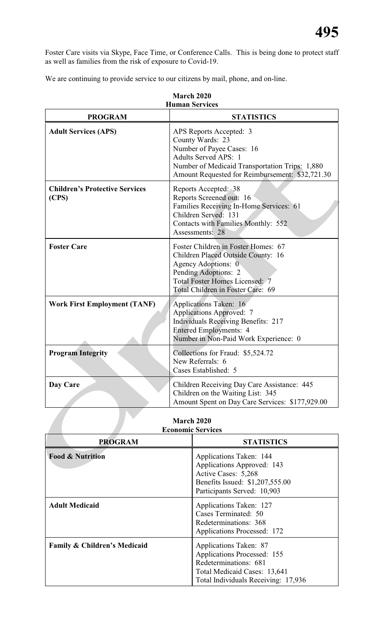Foster Care visits via Skype, Face Time, or Conference Calls. This is being done to protect staff as well as families from the risk of exposure to Covid-19.

We are continuing to provide service to our citizens by mail, phone, and on-line.

| <b>PROGRAM</b>                                 | <b>STATISTICS</b>                                                                                                                                                                                            |
|------------------------------------------------|--------------------------------------------------------------------------------------------------------------------------------------------------------------------------------------------------------------|
| <b>Adult Services (APS)</b>                    | APS Reports Accepted: 3<br>County Wards: 23<br>Number of Payee Cases: 16<br><b>Adults Served APS: 1</b><br>Number of Medicaid Transportation Trips: 1,880<br>Amount Requested for Reimbursement: \$32,721.30 |
| <b>Children's Protective Services</b><br>(CPS) | Reports Accepted: 38<br>Reports Screened out: 16<br>Families Receiving In-Home Services: 61<br>Children Served: 131<br>Contacts with Families Monthly: 552<br>Assessments: 28                                |
| <b>Foster Care</b>                             | Foster Children in Foster Homes: 67<br>Children Placed Outside County: 16<br>Agency Adoptions: 0<br>Pending Adoptions: 2<br>Total Foster Homes Licensed: 7<br>Total Children in Foster Care: 69              |
| <b>Work First Employment (TANF)</b>            | Applications Taken: 16<br><b>Applications Approved: 7</b><br><b>Individuals Receiving Benefits: 217</b><br><b>Entered Employments: 4</b><br>Number in Non-Paid Work Experience: 0                            |
| <b>Program Integrity</b>                       | Collections for Fraud: \$5,524.72<br>New Referrals: 6<br>Cases Established: 5                                                                                                                                |
| Day Care                                       | Children Receiving Day Care Assistance: 445<br>Children on the Waiting List: 345<br>Amount Spent on Day Care Services: \$177,929.00                                                                          |
|                                                | <b>March 2020</b><br>Economic Services                                                                                                                                                                       |

#### **March 2020 Human Services**

#### **March 2020 Economic Services**

| <b>PROGRAM</b>               | <b>STATISTICS</b>                                                                                                                                     |
|------------------------------|-------------------------------------------------------------------------------------------------------------------------------------------------------|
| <b>Food &amp; Nutrition</b>  | Applications Taken: 144<br>Applications Approved: 143<br>Active Cases: 5,268<br>Benefits Issued: \$1,207,555.00<br>Participants Served: 10,903        |
| <b>Adult Medicaid</b>        | Applications Taken: 127<br>Cases Terminated: 50<br>Redeterminations: 368<br><b>Applications Processed: 172</b>                                        |
| Family & Children's Medicaid | Applications Taken: 87<br>Applications Processed: 155<br>Redeterminations: 681<br>Total Medicaid Cases: 13,641<br>Total Individuals Receiving: 17,936 |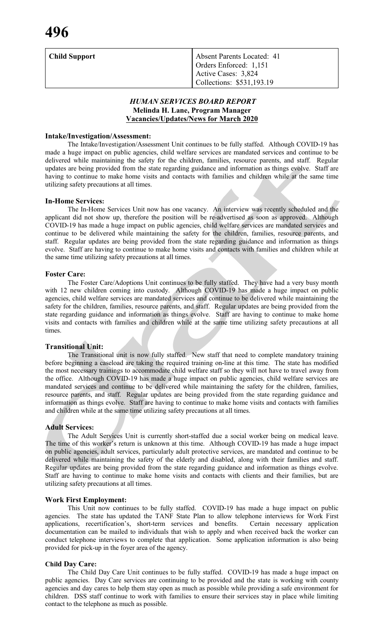| Child Support | <b>Absent Parents Located: 41</b><br>Orders Enforced: 1,151 |
|---------------|-------------------------------------------------------------|
|               | 1 Active Cases: 3,824<br>Collections: \$531,193.19          |

#### *HUMAN SERVICES BOARD REPORT* **Melinda H. Lane, Program Manager Vacancies/Updates/News for March 2020**

#### **Intake/Investigation/Assessment:**

The Intake/Investigation/Assessment Unit continues to be fully staffed. Although COVID-19 has made a huge impact on public agencies, child welfare services are mandated services and continue to be delivered while maintaining the safety for the children, families, resource parents, and staff. Regular updates are being provided from the state regarding guidance and information as things evolve. Staff are having to continue to make home visits and contacts with families and children while at the same time utilizing safety precautions at all times.

#### **In-Home Services:**

The In-Home Services Unit now has one vacancy. An interview was recently scheduled and the applicant did not show up, therefore the position will be re-advertised as soon as approved. Although COVID-19 has made a huge impact on public agencies, child welfare services are mandated services and continue to be delivered while maintaining the safety for the children, families, resource parents, and staff. Regular updates are being provided from the state regarding guidance and information as things evolve. Staff are having to continue to make home visits and contacts with families and children while at the same time utilizing safety precautions at all times.

#### **Foster Care:**

The Foster Care/Adoptions Unit continues to be fully staffed. They have had a very busy month with 12 new children coming into custody. Although COVID-19 has made a huge impact on public agencies, child welfare services are mandated services and continue to be delivered while maintaining the safety for the children, families, resource parents, and staff. Regular updates are being provided from the state regarding guidance and information as things evolve. Staff are having to continue to make home visits and contacts with families and children while at the same time utilizing safety precautions at all times.

#### **Transitional Unit:**

The Transitional unit is now fully staffed. New staff that need to complete mandatory training before beginning a caseload are taking the required training on-line at this time. The state has modified the most necessary trainings to accommodate child welfare staff so they will not have to travel away from the office. Although COVID-19 has made a huge impact on public agencies, child welfare services are mandated services and continue to be delivered while maintaining the safety for the children, families, resource parents, and staff. Regular updates are being provided from the state regarding guidance and information as things evolve. Staff are having to continue to make home visits and contacts with families and children while at the same time utilizing safety precautions at all times.

#### **Adult Services:**

The Adult Services Unit is currently short-staffed due a social worker being on medical leave. The time of this worker's return is unknown at this time. Although COVID-19 has made a huge impact on public agencies, adult services, particularly adult protective services, are mandated and continue to be delivered while maintaining the safety of the elderly and disabled, along with their families and staff. Regular updates are being provided from the state regarding guidance and information as things evolve. Staff are having to continue to make home visits and contacts with clients and their families, but are utilizing safety precautions at all times.

#### **Work First Employment:**

This Unit now continues to be fully staffed. COVID-19 has made a huge impact on public agencies. The state has updated the TANF State Plan to allow telephone interviews for Work First applications, recertification's, short-term services and benefits. Certain necessary application documentation can be mailed to individuals that wish to apply and when received back the worker can conduct telephone interviews to complete that application. Some application information is also being provided for pick-up in the foyer area of the agency.

#### **Child Day Care:**

The Child Day Care Unit continues to be fully staffed. COVID-19 has made a huge impact on public agencies. Day Care services are continuing to be provided and the state is working with county agencies and day cares to help them stay open as much as possible while providing a safe environment for children. DSS staff continue to work with families to ensure their services stay in place while limiting contact to the telephone as much as possible.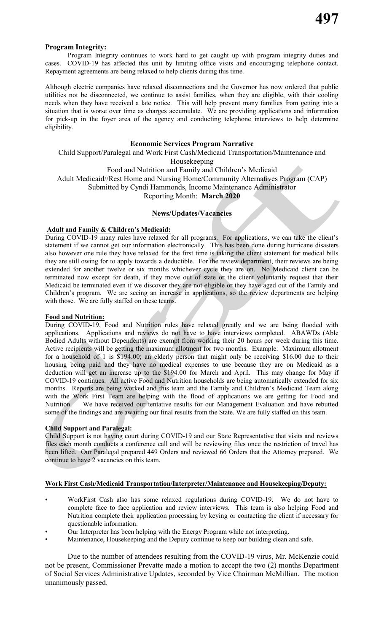#### **Program Integrity:**

Program Integrity continues to work hard to get caught up with program integrity duties and COVID-19 has affected this unit by limiting office visits and encouraging telephone contact. Repayment agreements are being relaxed to help clients during this time.

Although electric companies have relaxed disconnections and the Governor has now ordered that public utilities not be disconnected, we continue to assist families, when they are eligible, with their cooling needs when they have received a late notice. This will help prevent many families from getting into a situation that is worse over time as charges accumulate. We are providing applications and information for pick-up in the foyer area of the agency and conducting telephone interviews to help determine eligibility.

#### **Economic Services Program Narrative**

Child Support/Paralegal and Work First Cash/Medicaid Transportation/Maintenance and

Housekeeping

Food and Nutrition and Family and Children's Medicaid Adult Medicaid//Rest Home and Nursing Home/Community Alternatives Program (CAP) Submitted by Cyndi Hammonds, Income Maintenance Administrator Reporting Month: **March 2020**

#### **News/Updates/Vacancies**

#### **Adult and Family & Children's Medicaid:**

During COVID-19 many rules have relaxed for all programs. For applications, we can take the client's statement if we cannot get our information electronically. This has been done during hurricane disasters also however one rule they have relaxed for the first time is taking the client statement for medical bills they are still owing for to apply towards a deductible. For the review department, their reviews are being extended for another twelve or six months whichever cycle they are on. No Medicaid client can be terminated now except for death, if they move out of state or the client voluntarily request that their Medicaid be terminated even if we discover they are not eligible or they have aged out of the Family and Children's program. We are seeing an increase in applications, so the review departments are helping with those. We are fully staffed on these teams.

#### **Food and Nutrition:**

During COVID-19, Food and Nutrition rules have relaxed greatly and we are being flooded with applications. Applications and reviews do not have to have interviews completed. ABAWDs (Able Bodied Adults without Dependents) are exempt from working their 20 hours per week during this time. Active recipients will be getting the maximum allotment for two months. Example: Maximum allotment for a household of 1 is \$194.00; an elderly person that might only be receiving \$16.00 due to their housing being paid and they have no medical expenses to use because they are on Medicaid as a deduction will get an increase up to the \$194.00 for March and April. This may change for May if COVID-19 continues. All active Food and Nutrition households are being automatically extended for six months. Reports are being worked and this team and the Family and Children's Medicaid Team along with the Work First Team are helping with the flood of applications we are getting for Food and Nutrition. We have received our tentative results for our Management Evaluation and have rebutted We have received our tentative results for our Management Evaluation and have rebutted some of the findings and are awaiting our final results from the State. We are fully staffed on this team.

#### **Child Support and Paralegal:**

Child Support is not having court during COVID-19 and our State Representative that visits and reviews files each month conducts a conference call and will be reviewing files once the restriction of travel has been lifted. Our Paralegal prepared 449 Orders and reviewed 66 Orders that the Attorney prepared. We continue to have 2 vacancies on this team.

#### **Work First Cash/Medicaid Transportation/Interpreter/Maintenance and Housekeeping/Deputy:**

- WorkFirst Cash also has some relaxed regulations during COVID-19. We do not have to complete face to face application and review interviews. This team is also helping Food and Nutrition complete their application processing by keying or contacting the client if necessary for questionable information.
- Our Interpreter has been helping with the Energy Program while not interpreting.
- Maintenance, Housekeeping and the Deputy continue to keep our building clean and safe.

Due to the number of attendees resulting from the COVID-19 virus, Mr. McKenzie could not be present, Commissioner Prevatte made a motion to accept the two (2) months Department of Social Services Administrative Updates, seconded by Vice Chairman McMillian. The motion unanimously passed.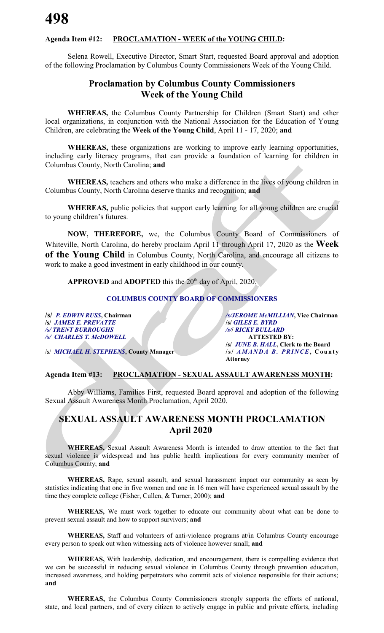#### **Agenda Item #12: PROCLAMATION - WEEK of the YOUNG CHILD:**

Selena Rowell, Executive Director, Smart Start, requested Board approval and adoption of the following Proclamation by Columbus County Commissioners Week of the Young Child.

### **Proclamation by Columbus County Commissioners Week of the Young Child**

**WHEREAS,** the Columbus County Partnership for Children (Smart Start) and other local organizations, in conjunction with the National Association for the Education of Young Children, are celebrating the **Week of the Young Child**, April 11 - 17, 2020; **and**

**WHEREAS,** these organizations are working to improve early learning opportunities, including early literacy programs, that can provide a foundation of learning for children in Columbus County, North Carolina; **and**

**WHEREAS,** teachers and others who make a difference in the lives of young children in Columbus County, North Carolina deserve thanks and recognition; **and**

**WHEREAS,** public policies that support early learning for all young children are crucial to young children's futures.

**NOW, THEREFORE,** we, the Columbus County Board of Commissioners of Whiteville, North Carolina, do hereby proclaim April 11 through April 17, 2020 as the **Week of the Young Child** in Columbus County, North Carolina, and encourage all citizens to work to make a good investment in early childhood in our county.

APPROVED and ADOPTED this the 20<sup>th</sup> day of April, 2020.

#### **COLUMBUS COUNTY BOARD OF COMMISSIONERS**

**/s/** *P. EDWIN RUSS***, Chairman** */s/JEROME McMILLIAN***, Vice Chairman** */s/ JAMES E. PREVATTE*<br>**/s/ TRENT BURROUGHS** */s/ CHARLES T. McDOWELL* **ATTESTED BY:**

*/s/ TRENT BURROUGHS /s/***/** *RICKY BULLARD* **/s/** *JUNE B. HALL***, Clerk to the Board** /s/ *MICHAEL H. STEPHENS***, County Manager /s/** *AMAN DA B. PRINCE***, Count y Attorney**

#### **Agenda Item #13: PROCLAMATION - SEXUAL ASSAULT AWARENESS MONTH:**

Abby Williams, Families First, requested Board approval and adoption of the following Sexual Assault Awareness Month Proclamation, April 2020.

### **SEXUAL ASSAULT AWARENESS MONTH PROCLAMATION April 2020**

**WHEREAS,** Sexual Assault Awareness Month is intended to draw attention to the fact that sexual violence is widespread and has public health implications for every community member of Columbus County; **and**

**WHEREAS,** Rape, sexual assault, and sexual harassment impact our community as seen by statistics indicating that one in five women and one in 16 men will have experienced sexual assault by the time they complete college (Fisher, Cullen, & Turner, 2000); **and**

**WHEREAS,** We must work together to educate our community about what can be done to prevent sexual assault and how to support survivors; **and**

**WHEREAS,** Staff and volunteers of anti-violence programs at/in Columbus County encourage every person to speak out when witnessing acts of violence however small; **and**

**WHEREAS,** With leadership, dedication, and encouragement, there is compelling evidence that we can be successful in reducing sexual violence in Columbus County through prevention education, increased awareness, and holding perpetrators who commit acts of violence responsible for their actions; **and**

**WHEREAS,** the Columbus County Commissioners strongly supports the efforts of national, state, and local partners, and of every citizen to actively engage in public and private efforts, including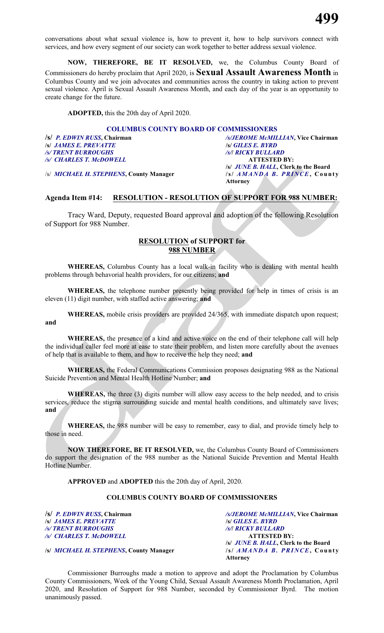conversations about what sexual violence is, how to prevent it, how to help survivors connect with services, and how every segment of our society can work together to better address sexual violence.

**NOW, THEREFORE, BE IT RESOLVED,** we, the Columbus County Board of Commissioners do hereby proclaim that April 2020, is **Sexual Assault Awareness Month** in Columbus County and we join advocates and communities across the country in taking action to prevent sexual violence. April is Sexual Assault Awareness Month, and each day of the year is an opportunity to create change for the future.

**ADOPTED,** this the 20th day of April 2020.

#### **COLUMBUS COUNTY BOARD OF COMMISSIONERS**

**/s/** *JAMES E. PREVATTE* **/s/** *GILES E. BYRD /s/ TRENT BURROUGHS /s/***/** *RICKY BULLARD /s/ CHARLES T. McDOWELL* **ATTESTED BY:**

/s/ *MICHAEL H. STEPHENS***, County Manager /s/** *AMAND A B. PRINCE***, Count y**

**/s/** *P. EDWIN RUSS***, Chairman** */s/JEROME McMILLIAN***, Vice Chairman /s/** *JUNE B. HALL***, Clerk to the Board Attorney**

#### **Agenda Item #14: RESOLUTION - RESOLUTION OF SUPPORT FOR 988 NUMBER:**

Tracy Ward, Deputy, requested Board approval and adoption of the following Resolution of Support for 988 Number.

#### **RESOLUTION of SUPPORT for 988 NUMBER**

**WHEREAS,** Columbus County has a local walk-in facility who is dealing with mental health problems through behavorial health providers, for our citizens; **and**

**WHEREAS,** the telephone number presently being provided for help in times of crisis is an eleven (11) digit number, with staffed active answering; **and**

**WHEREAS,** mobile crisis providers are provided 24/365, with immediate dispatch upon request;

**and**

**WHEREAS,** the presence of a kind and active voice on the end of their telephone call will help the individual caller feel more at ease to state their problem, and listen more carefully about the avenues of help that is available to them, and how to receive the help they need; **and**

**WHEREAS,** the Federal Communications Commission proposes designating 988 as the National Suicide Prevention and Mental Health Hotline Number; **and**

**WHEREAS,** the three (3) digits number will allow easy access to the help needed, and to crisis services, reduce the stigma surrounding suicide and mental health conditions, and ultimately save lives; **and**

**WHEREAS,** the 988 number will be easy to remember, easy to dial, and provide timely help to those in need.

**NOW THEREFORE, BE IT RESOLVED,** we, the Columbus County Board of Commissioners do support the designation of the 988 number as the National Suicide Prevention and Mental Health Hotline Number.

**APPROVED** and **ADOPTED** this the 20th day of April, 2020.

#### **COLUMBUS COUNTY BOARD OF COMMISSIONERS**

**/s/** *JAMES E. PREVATTE* **/s/** *GILES E. BYRD /s/ TRENT BURROUGHS /s/***/** *RICKY BULLARD /s/ CHARLES T. McDOWELL* **ATTESTED BY:**

**/s/** *P. EDWIN RUSS***, Chairman** */s/JEROME McMILLIAN***, Vice Chairman /s/** *JUNE B. HALL***, Clerk to the Board Attorney**

**/s/** *MICHAEL H. STEPHENS***, County Manager /s/** *AMAN D A B. PRIN CE***, Count y**

Commissioner Burroughs made a motion to approve and adopt the Proclamation by Columbus County Commissioners, Week of the Young Child, Sexual Assault Awareness Month Proclamation, April 2020, and Resolution of Support for 988 Number, seconded by Commissioner Byrd. The motion unanimously passed.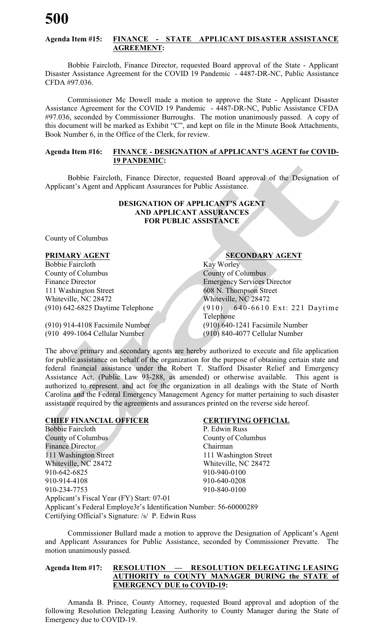#### **Agenda Item #15: FINANCE - STATE APPLICANT DISASTER ASSISTANCE AGREEMENT:**

Bobbie Faircloth, Finance Director, requested Board approval of the State - Applicant Disaster Assistance Agreement for the COVID 19 Pandemic - 4487-DR-NC, Public Assistance CFDA #97.036.

Commissioner Mc Dowell made a motion to approve the State - Applicant Disaster Assistance Agreement for the COVID 19 Pandemic - 4487-DR-NC, Public Assistance CFDA #97.036, seconded by Commissioner Burroughs. The motion unanimously passed. A copy of this document will be marked as Exhibit "C", and kept on file in the Minute Book Attachments, Book Number 6, in the Office of the Clerk, for review.

#### **Agenda Item #16: FINANCE - DESIGNATION of APPLICANT'S AGENT for COVID-19 PANDEMIC:**

Bobbie Faircloth, Finance Director, requested Board approval of the Designation of Applicant's Agent and Applicant Assurances for Public Assistance.

#### **DESIGNATION OF APPLICANT'S AGENT AND APPLICANT ASSURANCES FOR PUBLIC ASSISTANCE**

County of Columbus

Bobbie Faircloth Kay Worley County of Columbus County of Columbus Finance Director **Emergency Services Director** 111 Washington Street 608 N. Thompson Street Whiteville, NC 28472 Whiteville, NC 28472

#### **PRIMARY AGENT SECONDARY AGENT**

(910) 642-6825 Daytime Telephone (910) 640-6610 Ex t: 221 Daytime Telephone (910) 914-4108 Facsimile Number (910) 640-1241 Facsimile Number

(910 499-1064 Cellular Number (910) 840-4077 Cellular Number

The above primary and secondary agents are hereby authorized to execute and file application for public assistance on behalf of the organization for the purpose of obtaining certain state and federal financial assistance under the Robert T. Stafford Disaster Relief and Emergency Assistance Act, (Public Law 93-288, as amended) or otherwise available. This agent is authorized to represent. and act for the organization in all dealings with the State of North Carolina and the Federal Emergency Management Agency for matter pertaining to such disaster assistance required by the agreements and assurances printed on the reverse side hereof.

#### **CHIEF FINANCIAL OFFICER CERTIFYING OFFICIAL**

Bobbie Faircloth P. Edwin Russ County of Columbus County of Columbus Finance Director Chairman 111 Washington Street 111 Washington Street Whiteville, NC 28472 Whiteville, NC 28472 910-642-6825 910-940-0100 910-914-4108 910-640-0208 910-234-7753 910-840-0100 Applicant's Fiscal Year (FY) Start: 07-01 Applicant's Federal Employe3r's Identification Number: 56-60000289 Certifying Official's Signature: /s/ P. Edwin Russ

Commissioner Bullard made a motion to approve the Designation of Applicant's Agent and Applicant Assurances for Public Assistance, seconded by Commissioner Prevatte. The motion unanimously passed.

#### **Agenda Item #17: RESOLUTION — RESOLUTION DELEGATING LEASING AUTHORITY to COUNTY MANAGER DURING the STATE of EMERGENCY DUE to COVID-19:**

Amanda B. Prince, County Attorney, requested Board approval and adoption of the following Resolution Delegating Leasing Authority to County Manager during the State of Emergency due to COVID-19.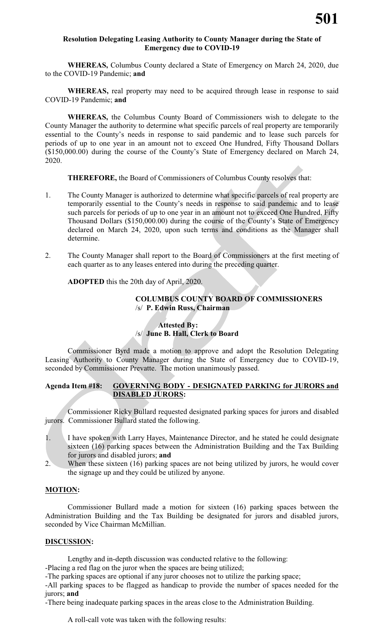#### **Resolution Delegating Leasing Authority to County Manager during the State of Emergency due to COVID-19**

**WHEREAS,** Columbus County declared a State of Emergency on March 24, 2020, due to the COVID-19 Pandemic; **and**

**WHEREAS,** real property may need to be acquired through lease in response to said COVID-19 Pandemic; **and**

**WHEREAS,** the Columbus County Board of Commissioners wish to delegate to the County Manager the authority to determine what specific parcels of real property are temporarily essential to the County's needs in response to said pandemic and to lease such parcels for periods of up to one year in an amount not to exceed One Hundred, Fifty Thousand Dollars (\$150,000.00) during the course of the County's State of Emergency declared on March 24, 2020.

**THEREFORE,** the Board of Commissioners of Columbus County resolves that:

- 1. The County Manager is authorized to determine what specific parcels of real property are temporarily essential to the County's needs in response to said pandemic and to lease such parcels for periods of up to one year in an amount not to exceed One Hundred, Fifty Thousand Dollars (\$150,000.00) during the course of the County's State of Emergency declared on March 24, 2020, upon such terms and conditions as the Manager shall determine.
- 2. The County Manager shall report to the Board of Commissioners at the first meeting of each quarter as to any leases entered into during the preceding quarter.

**ADOPTED** this the 20th day of April, 2020.

#### **COLUMBUS COUNTY BOARD OF COMMISSIONERS** /s/ **P. Edwin Russ, Chairman**

#### **Attested By:**  /s/ **June B. Hall, Clerk to Board**

Commissioner Byrd made a motion to approve and adopt the Resolution Delegating Leasing Authority to County Manager during the State of Emergency due to COVID-19, seconded by Commissioner Prevatte. The motion unanimously passed.

#### **Agenda Item #18: GOVERNING BODY - DESIGNATED PARKING for JURORS and DISABLED JURORS:**

Commissioner Ricky Bullard requested designated parking spaces for jurors and disabled jurors. Commissioner Bullard stated the following.

- 1. I have spoken with Larry Hayes, Maintenance Director, and he stated he could designate sixteen (16) parking spaces between the Administration Building and the Tax Building for jurors and disabled jurors; **and**
- 2. When these sixteen (16) parking spaces are not being utilized by jurors, he would cover the signage up and they could be utilized by anyone.

#### **MOTION:**

Commissioner Bullard made a motion for sixteen (16) parking spaces between the Administration Building and the Tax Building be designated for jurors and disabled jurors, seconded by Vice Chairman McMillian.

#### **DISCUSSION:**

Lengthy and in-depth discussion was conducted relative to the following:

-Placing a red flag on the juror when the spaces are being utilized;

-The parking spaces are optional if any juror chooses not to utilize the parking space;

-All parking spaces to be flagged as handicap to provide the number of spaces needed for the jurors; **and**

-There being inadequate parking spaces in the areas close to the Administration Building.

A roll-call vote was taken with the following results: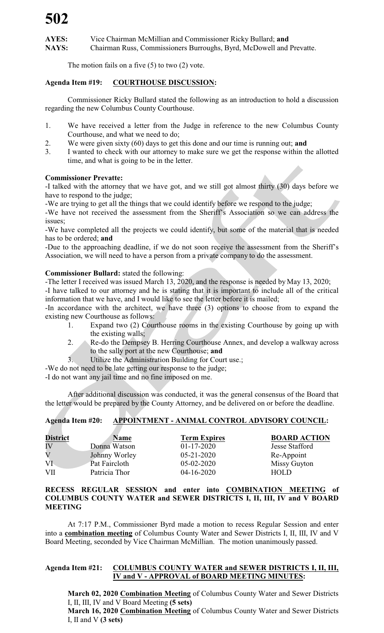**AYES:** Vice Chairman McMillian and Commissioner Ricky Bullard; **and NAYS:** Chairman Russ, Commissioners Burroughs, Byrd, McDowell and Prevatte.

The motion fails on a five  $(5)$  to two  $(2)$  vote.

#### **Agenda Item #19: COURTHOUSE DISCUSSION:**

Commissioner Ricky Bullard stated the following as an introduction to hold a discussion regarding the new Columbus County Courthouse.

- 1. We have received a letter from the Judge in reference to the new Columbus County Courthouse, and what we need to do;
- 2. We were given sixty (60) days to get this done and our time is running out; **and**
- 3. I wanted to check with our attorney to make sure we get the response within the allotted time, and what is going to be in the letter.

#### **Commissioner Prevatte:**

-I talked with the attorney that we have got, and we still got almost thirty (30) days before we have to respond to the judge;

-We are trying to get all the things that we could identify before we respond to the judge;

-We have not received the assessment from the Sheriff's Association so we can address the issues;

-We have completed all the projects we could identify, but some of the material that is needed has to be ordered; **and**

-Due to the approaching deadline, if we do not soon receive the assessment from the Sheriff's Association, we will need to have a person from a private company to do the assessment.

#### **Commissioner Bullard:** stated the following:

-The letter I received was issued March 13, 2020, and the response is needed by May 13, 2020;

-I have talked to our attorney and he is stating that it is important to include all of the critical information that we have, and I would like to see the letter before it is mailed;

-In accordance with the architect, we have three (3) options to choose from to expand the existing new Courthouse as follows:

- 1. Expand two (2) Courthouse rooms in the existing Courthouse by going up with the existing walls;
- 2. Re-do the Dempsey B. Herring Courthouse Annex, and develop a walkway across to the sally port at the new Courthouse; **and**
- 3. Utilize the Administration Building for Court use.;

-We do not need to be late getting our response to the judge;

-I do not want any jail time and no fine imposed on me.

After additional discussion was conducted, it was the general consensus of the Board that the letter would be prepared by the County Attorney, and be delivered on or before the deadline.

#### **Agenda Item #20: APPOINTMENT - ANIMAL CONTROL ADVISORY COUNCIL:**

| <b>District</b>         | <b>Name</b>   | <b>Term Expires</b> | <b>BOARD ACTION</b>   |
|-------------------------|---------------|---------------------|-----------------------|
| IV                      | Donna Watson  | $01 - 17 - 2020$    | <b>Jesse Stafford</b> |
| $\overline{\mathrm{V}}$ | Johnny Worley | $05 - 21 - 2020$    | Re-Appoint            |
| VI                      | Pat Faircloth | $05-02-2020$        | Missy Guyton          |
| VII                     | Patricia Thor | $04-16-2020$        | HOLD                  |

#### **RECESS REGULAR SESSION and enter into COMBINATION MEETING of COLUMBUS COUNTY WATER and SEWER DISTRICTS I, II, III, IV and V BOARD MEETING**

At 7:17 P.M., Commissioner Byrd made a motion to recess Regular Session and enter into a **combination meeting** of Columbus County Water and Sewer Districts I, II, III, IV and V Board Meeting, seconded by Vice Chairman McMillian. The motion unanimously passed.

#### **Agenda Item #21: COLUMBUS COUNTY WATER and SEWER DISTRICTS I, II, III, IV and V - APPROVAL of BOARD MEETING MINUTES:**

**March 02, 2020 Combination Meeting** of Columbus County Water and Sewer Districts I, II, III, IV and V Board Meeting **(5 sets)**

**March 16, 2020 Combination Meeting** of Columbus County Water and Sewer Districts I, II and V **(3 sets)**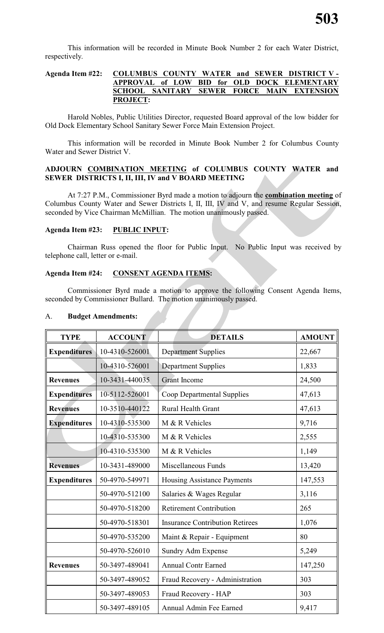This information will be recorded in Minute Book Number 2 for each Water District, respectively.

#### **Agenda Item #22: COLUMBUS COUNTY WATER and SEWER DISTRICT V - APPROVAL of LOW BID for OLD DOCK ELEMENTARY SCHOOL SANITARY SEWER FORCE MAIN EXTENSION PROJECT:**

Harold Nobles, Public Utilities Director, requested Board approval of the low bidder for Old Dock Elementary School Sanitary Sewer Force Main Extension Project.

This information will be recorded in Minute Book Number 2 for Columbus County Water and Sewer District V.

#### **ADJOURN COMBINATION MEETING of COLUMBUS COUNTY WATER and SEWER DISTRICTS I, II, III, IV and V BOARD MEETING**

At 7:27 P.M., Commissioner Byrd made a motion to adjourn the **combination meeting** of Columbus County Water and Sewer Districts I, II, III, IV and V, and resume Regular Session, seconded by Vice Chairman McMillian. The motion unanimously passed.

#### **Agenda Item #23: PUBLIC INPUT:**

Chairman Russ opened the floor for Public Input. No Public Input was received by telephone call, letter or e-mail.

#### **Agenda Item #24: CONSENT AGENDA ITEMS:**

Commissioner Byrd made a motion to approve the following Consent Agenda Items, seconded by Commissioner Bullard. The motion unanimously passed.

| <b>TYPE</b>         | <b>ACCOUNT</b> | <b>DETAILS</b>                         | <b>AMOUNT</b> |
|---------------------|----------------|----------------------------------------|---------------|
| <b>Expenditures</b> | 10-4310-526001 | <b>Department Supplies</b>             | 22,667        |
|                     | 10-4310-526001 | <b>Department Supplies</b>             | 1,833         |
| <b>Revenues</b>     | 10-3431-440035 | <b>Grant Income</b>                    | 24,500        |
| <b>Expenditures</b> | 10-5112-526001 | Coop Departmental Supplies             | 47,613        |
| <b>Revenues</b>     | 10-3510-440122 | Rural Health Grant                     | 47,613        |
| <b>Expenditures</b> | 10-4310-535300 | M & R Vehicles                         | 9,716         |
|                     | 10-4310-535300 | M & R Vehicles                         | 2,555         |
|                     | 10-4310-535300 | M & R Vehicles                         | 1,149         |
| <b>Revenues</b>     | 10-3431-489000 | Miscellaneous Funds                    | 13,420        |
| <b>Expenditures</b> | 50-4970-549971 | Housing Assistance Payments            | 147,553       |
|                     | 50-4970-512100 | Salaries & Wages Regular               | 3,116         |
|                     | 50-4970-518200 | <b>Retirement Contribution</b>         | 265           |
|                     | 50-4970-518301 | <b>Insurance Contribution Retirees</b> | 1,076         |
|                     | 50-4970-535200 | Maint & Repair - Equipment             | 80            |
|                     | 50-4970-526010 | Sundry Adm Expense                     | 5,249         |
| <b>Revenues</b>     | 50-3497-489041 | <b>Annual Contr Earned</b>             | 147,250       |
|                     | 50-3497-489052 | Fraud Recovery - Administration        | 303           |
|                     | 50-3497-489053 | Fraud Recovery - HAP                   | 303           |
|                     | 50-3497-489105 | Annual Admin Fee Earned                | 9,417         |

#### A. **Budget Amendments:**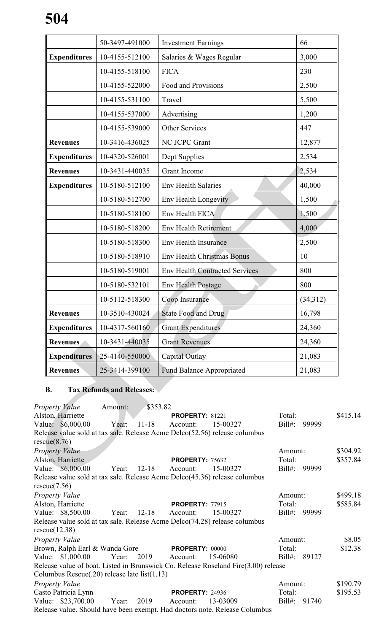|                     | 50-3497-491000 | <b>Investment Earnings</b>            | 66       |
|---------------------|----------------|---------------------------------------|----------|
| <b>Expenditures</b> | 10-4155-512100 | Salaries & Wages Regular              | 3,000    |
|                     | 10-4155-518100 | <b>FICA</b>                           | 230      |
|                     | 10-4155-522000 | Food and Provisions                   | 2,500    |
|                     | 10-4155-531100 | Travel                                | 5,500    |
|                     | 10-4155-537000 | Advertising                           | 1,200    |
|                     | 10-4155-539000 | <b>Other Services</b>                 | 447      |
| <b>Revenues</b>     | 10-3416-436025 | NC JCPC Grant                         | 12,877   |
| <b>Expenditures</b> | 10-4320-526001 | Dept Supplies                         | 2,534    |
| <b>Revenues</b>     | 10-3431-440035 | <b>Grant Income</b>                   | 2,534    |
| <b>Expenditures</b> | 10-5180-512100 | <b>Env Health Salaries</b>            | 40,000   |
|                     | 10-5180-512700 | <b>Env Health Longevity</b>           | 1,500    |
|                     | 10-5180-518100 | Env Health FICA                       | 1,500    |
|                     | 10-5180-518200 | <b>Env Health Retirement</b>          | 4,000    |
|                     | 10-5180-518300 | <b>Env Health Insurance</b>           | 2,500    |
|                     | 10-5180-518910 | <b>Env Health Christmas Bonus</b>     | 10       |
|                     | 10-5180-519001 | <b>Env Health Contracted Services</b> | 800      |
|                     | 10-5180-532101 | <b>Env Health Postage</b>             | 800      |
|                     | 10-5112-518300 | Coop Insurance                        | (34,312) |
| <b>Revenues</b>     | 10-3510-430024 | <b>State Food and Drug</b>            | 16,798   |
| <b>Expenditures</b> | 10-4317-560160 | <b>Grant Expenditures</b>             | 24,360   |
| <b>Revenues</b>     | 10-3431-440035 | <b>Grant Revenues</b>                 | 24,360   |
| <b>Expenditures</b> | 25-4140-550000 | Capital Outlay                        | 21,083   |
| <b>Revenues</b>     | 25-3414-399100 | <b>Fund Balance Appropriated</b>      | 21,083   |

# **B. Tax Refunds and Releases:**

a ka

**STEP 18** 

| <b>Property Value</b> |                                              | Amount: | \$353.82   |                        |                                                                                    |           |       |          |
|-----------------------|----------------------------------------------|---------|------------|------------------------|------------------------------------------------------------------------------------|-----------|-------|----------|
|                       | Alston, Harriette                            |         |            | <b>PROPERTY: 81221</b> |                                                                                    | Total:    |       | \$415.14 |
|                       | Value: \$6,000.00                            | Year:   | $11 - 18$  | Account:               | 15-00327                                                                           | Bill#:    | 99999 |          |
|                       |                                              |         |            |                        | Release value sold at tax sale. Release Acme Delco(52.56) release columbus         |           |       |          |
| rescue(8.76)          |                                              |         |            |                        |                                                                                    |           |       |          |
| <b>Property Value</b> |                                              |         |            |                        |                                                                                    | Amount:   |       | \$304.92 |
|                       | Alston, Harriette                            |         |            | <b>PROPERTY: 75632</b> |                                                                                    | Total:    |       | \$357.84 |
|                       | Value: \$6,000.00                            | Year:   | 12-18      | Account:               | 15-00327                                                                           | Bill#:    | 99999 |          |
|                       |                                              |         |            |                        | Release value sold at tax sale. Release Acme Delco(45.36) release columbus         |           |       |          |
| rescue(7.56)          |                                              |         |            |                        |                                                                                    |           |       |          |
| Property Value        |                                              |         |            |                        |                                                                                    | Amount:   |       | \$499.18 |
|                       | Alston, Harriette                            |         |            | <b>PROPERTY: 77915</b> |                                                                                    | Total:    |       | \$585.84 |
|                       | Value: \$8,500.00                            | Year:   | $12 - 18$  | Account:               | 15-00327                                                                           | Bill#:    | 99999 |          |
|                       |                                              |         |            |                        | Release value sold at tax sale. Release Acme Delco(74.28) release columbus         |           |       |          |
| rescue(12.38)         |                                              |         |            |                        |                                                                                    |           |       |          |
| Property Value        |                                              |         |            |                        |                                                                                    | Amount:   |       | \$8.05   |
|                       | Brown, Ralph Earl & Wanda Gore               |         |            | <b>PROPERTY: 00000</b> |                                                                                    | Total:    |       | \$12.38  |
|                       | Value: \$1,000.00                            |         | Year: 2019 | Account:               | 15-06080                                                                           | Bill#:    | 89127 |          |
|                       |                                              |         |            |                        | Release value of boat. Listed in Brunswick Co. Release Roseland Fire(3.00) release |           |       |          |
|                       | Columbus Rescue(.20) release late list(1.13) |         |            |                        |                                                                                    |           |       |          |
| Property Value        |                                              |         |            |                        |                                                                                    | Amount:   |       | \$190.79 |
|                       | Casto Patricia Lynn                          |         |            | <b>PROPERTY: 24936</b> |                                                                                    | Total:    |       | \$195.53 |
|                       | Value: \$23,700.00                           | Year:   | 2019       | Account:               | 13-03009                                                                           | $Bill#$ : | 91740 |          |
|                       |                                              |         |            |                        | Release value. Should have been exempt. Had doctors note. Release Columbus         |           |       |          |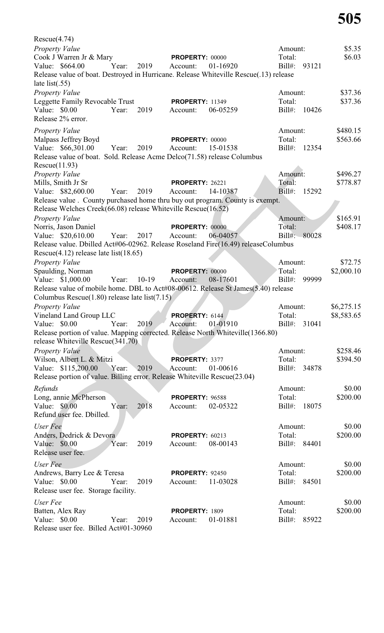| Rescue(4.74)                                                                          |                        |                    |            |
|---------------------------------------------------------------------------------------|------------------------|--------------------|------------|
| Property Value                                                                        |                        | Amount:            | \$5.35     |
| Cook J Warren Jr & Mary                                                               | <b>PROPERTY: 00000</b> | Total:             | \$6.03     |
| Value: \$664.00<br>Year:<br>2019<br>Account:                                          | 01-16920               | $Bill#$ :<br>93121 |            |
| Release value of boat. Destroyed in Hurricane. Release Whiteville Rescue(.13) release |                        |                    |            |
| late list( $.55$ )                                                                    |                        |                    |            |
| Property Value                                                                        |                        | Amount:            | \$37.36    |
| Leggette Family Revocable Trust                                                       | <b>PROPERTY: 11349</b> | Total:             | \$37.36    |
| 2019<br>Value: \$0.00<br>Year:<br>Account:                                            | 06-05259               | $Bill#$ :<br>10426 |            |
| Release 2% error.                                                                     |                        |                    |            |
| <b>Property Value</b>                                                                 |                        | Amount:            | \$480.15   |
| Malpass Jeffrey Boyd                                                                  | <b>PROPERTY: 00000</b> | Total:             | \$563.66   |
| Value: \$66,301.00<br>Year:<br>2019<br>Account:                                       | 15-01538               | Bill#:<br>12354    |            |
| Release value of boat. Sold. Release Acme Delco(71.58) release Columbus               |                        |                    |            |
| Rescue(11.93)                                                                         |                        |                    |            |
| <b>Property Value</b>                                                                 |                        | Amount:            | \$496.27   |
| Mills, Smith Jr Sr                                                                    | <b>PROPERTY: 26221</b> | Total:             | \$778.87   |
| Value: \$82,600.00<br>Year:<br>2019<br>Account:                                       | 14-10387               | $Bill#$ :<br>15292 |            |
| Release value . County purchased home thru buy out program. County is exempt.         |                        |                    |            |
| Release Welches Creek(66.08) release Whiteville Rescue(16.52)                         |                        |                    |            |
| Property Value                                                                        |                        | Amount:            | \$165.91   |
| Norris, Jason Daniel                                                                  | <b>PROPERTY: 00000</b> | Total:             | \$408.17   |
| Value: \$20,610.00<br>Year:<br>2017<br>Account:                                       | 06-04057               | $Bill#$ :<br>80028 |            |
| Release value. Dbilled Act#06-02962. Release Roseland Fire(16.49) releaseColumbus     |                        |                    |            |
| Rescue $(4.12)$ release late list $(18.65)$                                           |                        |                    |            |
| <b>Property Value</b>                                                                 |                        | Amount:            | \$72.75    |
| Spaulding, Norman                                                                     | <b>PROPERTY: 00000</b> | Total:             | \$2,000.10 |
| Value: \$1,000.00<br>$10-19$<br>Year:<br>Account:                                     | 08-17601               | $Bill#$ :<br>99999 |            |
| Release value of mobile home. DBL to Act#08-00612. Release St James(5.40) release     |                        |                    |            |
| Columbus Rescue $(1.80)$ release late list $(7.15)$                                   |                        |                    |            |
| Property Value                                                                        |                        | Amount:            | \$6,275.15 |
| Vineland Land Group LLC                                                               | PROPERTY: 6144         | Total:             | \$8,583.65 |
| Year: 2019 Account: 01-01910<br>Value: $$0.00$                                        |                        | Bill#: 31041       |            |
| Release portion of value. Mapping corrected. Release North Whiteville(1366.80)        |                        |                    |            |
| release Whiteville Rescue(341.70)                                                     |                        |                    |            |
| Property Value                                                                        |                        | Amount:            | \$258.46   |
| Wilson, Albert L. & Mitzi                                                             | PROPERTY: 3377         | Total:             | \$394.50   |
| Value: \$115,200.00<br>Year:<br>2019<br>Account:                                      | 01-00616               | Bill#: 34878       |            |
| Release portion of value. Billing error. Release Whiteville Rescue(23.04)             |                        |                    |            |
| Refunds                                                                               |                        | Amount:            | \$0.00     |
| Long, annie McPherson                                                                 | <b>PROPERTY: 96588</b> | Total:             | \$200.00   |
| Value: \$0.00<br>Year:<br>2018<br>Account:                                            | 02-05322               | Bill#: 18075       |            |
| Refund user fee. Dbilled.                                                             |                        |                    |            |
|                                                                                       |                        |                    |            |
| User Fee                                                                              |                        | Amount:            | \$0.00     |
| Anders, Dedrick & Devora                                                              | <b>PROPERTY: 60213</b> | Total:             | \$200.00   |
| Value: \$0.00<br>Year:<br>2019                                                        | Account:<br>08-00143   | Bill#: 84401       |            |
| Release user fee.                                                                     |                        |                    |            |
| User Fee                                                                              |                        | Amount:            | \$0.00     |
| Andrews, Barry Lee & Teresa                                                           | <b>PROPERTY: 92450</b> | Total:             | \$200.00   |
| Value: \$0.00<br>Year:<br>2019                                                        | 11-03028<br>Account:   | Bill#: 84501       |            |
| Release user fee. Storage facility.                                                   |                        |                    |            |
| User Fee                                                                              |                        | Amount:            | \$0.00     |
| Batten, Alex Ray                                                                      | PROPERTY: 1809         | Total:             | \$200.00   |
| Value: \$0.00<br>Year:<br>2019<br>Account:                                            | 01-01881               | Bill#: 85922       |            |
| Release user fee. Billed Act#01-30960                                                 |                        |                    |            |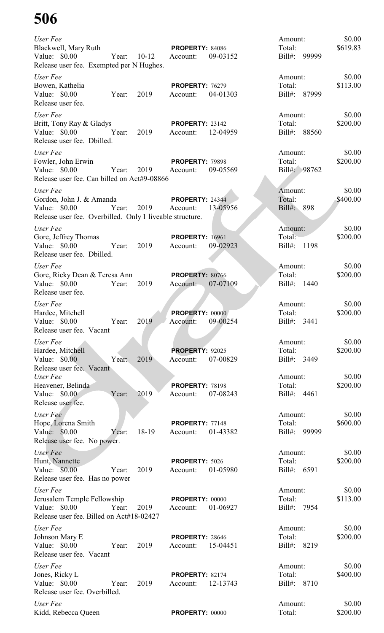| User Fee<br>Blackwell, Mary Ruth<br>Value: \$0.00<br>Release user fee. Exempted per N Hughes.                     | Year: 10-12 |               | <b>PROPERTY: 84086</b><br>Account:          | 09-03152 | Amount:<br>Total:<br>Bill#: 99999 |       | \$0.00<br>\$619.83 |
|-------------------------------------------------------------------------------------------------------------------|-------------|---------------|---------------------------------------------|----------|-----------------------------------|-------|--------------------|
| User Fee                                                                                                          |             |               |                                             |          | Amount:                           |       | \$0.00             |
| Bowen, Kathelia<br>Value: \$0.00<br>Release user fee.                                                             | Year:       | 2019          | <b>PROPERTY: 76279</b><br>Account:          | 04-01303 | Total:<br>Bill#: 87999            |       | \$113.00           |
| User Fee<br>Britt, Tony Ray & Gladys<br>Value: $$0.00$<br>Release user fee. Dbilled.                              | Year:       | 2019          | <b>PROPERTY: 23142</b><br>Account: 12-04959 |          | Amount:<br>Total:<br>Bill#: 88560 |       | \$0.00<br>\$200.00 |
| User Fee<br>Fowler, John Erwin<br>Value: \$0.00<br>Release user fee. Can billed on Act#9-08866                    | Year:       | 2019          | <b>PROPERTY: 79898</b><br>Account:          | 09-05569 | Amount:<br>Total:<br>Bill#: 98762 |       | \$0.00<br>\$200.00 |
| User Fee<br>Gordon, John J. & Amanda<br>Value: \$0.00<br>Release user fee. Overbilled. Only 1 liveable structure. | Year:       | 2019 Account: | <b>PROPERTY: 24344</b>                      | 13-05956 | Amount:<br>Total:<br>Bill#: 898   |       | \$0.00<br>\$400.00 |
| User Fee                                                                                                          |             |               |                                             |          | Amount:                           |       | \$0.00             |
| Gore, Jeffrey Thomas<br>Value: \$0.00<br>Release user fee. Dbilled.                                               | Year:       | 2019          | <b>PROPERTY: 16961</b><br>Account:          | 09-02923 | Total:<br>Bill#:                  | 1198  | \$200.00           |
| User Fee                                                                                                          |             |               |                                             |          | Amount:                           |       | \$0.00             |
| Gore, Ricky Dean & Teresa Ann<br>Value: \$0.00<br>Release user fee.                                               | Year:       | 2019          | <b>PROPERTY: 80766</b><br>Account:          | 07-07109 | Total:<br>Bill#:                  | 1440  | \$200.00           |
| User Fee<br>Hardee, Mitchell<br>Value: \$0.00<br>Release user fee. Vacant                                         | Year:       | 2019          | PROPERTY: 00000<br>Account:                 | 09-00254 | Amount:<br>Total:<br>$Bill#$ :    | 3441  | \$0.00<br>\$200.00 |
|                                                                                                                   |             |               |                                             |          |                                   |       | \$0.00             |
| User Fee<br>Hardee, Mitchell<br>Value: \$0.00                                                                     |             | 2019          | PROPERTY: 92025<br>Account:                 |          | Amount:<br>Total:<br>$Bill#$ :    | 3449  | \$200.00           |
| Release user fee. Vacant                                                                                          | Year:       |               |                                             | 07-00829 |                                   |       |                    |
| User Fee<br>Heavener, Belinda                                                                                     |             |               | <b>PROPERTY: 78198</b>                      |          | Amount:<br>Total:                 |       | \$0.00<br>\$200.00 |
| Value: \$0.00<br>Release user fee.                                                                                | Year:       | 2019          | Account:                                    | 07-08243 | Bill#:                            | 4461  |                    |
| User Fee                                                                                                          |             |               |                                             |          | Amount:                           |       | \$0.00             |
| Hope, Lorena Smith<br>Value: \$0.00<br>Release user fee. No power.                                                | Year:       | 18-19         | PROPERTY: 77148<br>Account:                 | 01-43382 | Total:<br>$Bill#$ :               | 99999 | \$600.00           |
| User Fee<br>Hunt, Nannette<br>Value: \$0.00<br>Release user fee. Has no power                                     | Year:       | 2019          | PROPERTY: 5026<br>Account:                  | 01-05980 | Amount:<br>Total:<br>Bill#:       | 6591  | \$0.00<br>\$200.00 |
| User Fee                                                                                                          |             |               |                                             |          | Amount:                           |       | \$0.00             |
| Jerusalem Temple Fellowship<br>Value: \$0.00<br>Release user fee. Billed on Act#18-02427                          | Year:       | 2019          | PROPERTY: 00000<br>Account:                 | 01-06927 | Total:<br>Bill#:                  | 7954  | \$113.00           |
| User Fee<br>Johnson Mary E<br>Value: \$0.00<br>Release user fee. Vacant                                           | Year:       | 2019          | <b>PROPERTY: 28646</b><br>Account:          | 15-04451 | Amount:<br>Total:<br>$Bill#$ :    | 8219  | \$0.00<br>\$200.00 |
| User Fee<br>Jones, Ricky L<br>Value: \$0.00<br>Release user fee. Overbilled.                                      | Year:       | 2019          | PROPERTY: 82174<br>Account:                 | 12-13743 | Amount:<br>Total:<br>$Bill#$ :    | 8710  | \$0.00<br>\$400.00 |
| User Fee<br>Kidd, Rebecca Queen                                                                                   |             |               | PROPERTY: 00000                             |          | Amount:<br>Total:                 |       | \$0.00<br>\$200.00 |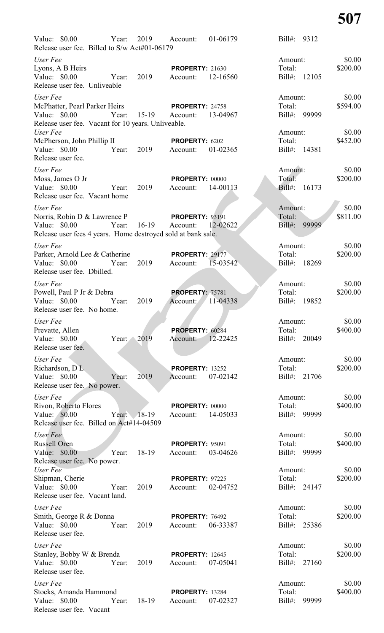| Value: \$0.00 Year:<br>Release user fee. Billed to S/w Act#01-06179                                                          |            |                      | 2019 Account:                      | 01-06179 |                              | Bill#: 9312  |                              |
|------------------------------------------------------------------------------------------------------------------------------|------------|----------------------|------------------------------------|----------|------------------------------|--------------|------------------------------|
| User Fee<br>Lyons, A B Heirs<br>Value: \$0.00<br>Release user fee. Unliveable                                                | Year:      | 2019                 | <b>PROPERTY: 21630</b><br>Account: | 12-16560 | Amount:<br>Total:            | Bill#: 12105 | \$0.00<br>\$200.00           |
| User Fee<br>McPhatter, Pearl Parker Heirs<br>Value: \$0.00<br>Release user fee. Vacant for 10 years. Unliveable.<br>User Fee |            | Year: 15-19 Account: | PROPERTY: 24758                    | 13-04967 | Amount:<br>Total:<br>Amount: | Bill#: 99999 | \$0.00<br>\$594.00<br>\$0.00 |
| McPherson, John Phillip II<br>Value: \$0.00<br>Release user fee.                                                             | Year:      | 2019                 | PROPERTY: 6202<br>Account:         | 01-02365 | Total:                       | Bill#: 14381 | \$452.00                     |
| User Fee<br>Moss, James O Jr<br>Value: \$0.00<br>Release user fee. Vacant home                                               | Year:      | 2019                 | <b>PROPERTY: 00000</b><br>Account: | 14-00113 | Amount:<br>Total:            | Bill#: 16173 | \$0.00<br>\$200.00           |
| User Fee<br>Norris, Robin D & Lawrence P<br>Value: \$0.00<br>Release user fees 4 years. Home destroyed sold at bank sale.    | Year:      | 16-19 Account:       | <b>PROPERTY: 93191</b>             | 12-02622 | Amount:<br>Total:<br>Bill#:  | 99999        | \$0.00<br>\$811.00           |
| User Fee<br>Parker, Arnold Lee & Catherine<br>Value: $$0.00$<br>Release user fee. Dbilled.                                   | Year:      | 2019                 | <b>PROPERTY: 29177</b><br>Account: | 15-03542 | Amount:<br>Total:            | Bill#: 18269 | \$0.00<br>\$200.00           |
| User Fee<br>Powell, Paul P Jr & Debra<br>Value: \$0.00<br>Release user fee. No home.                                         | Year:      | 2019                 | <b>PROPERTY: 75781</b><br>Account: | 11-04338 | Amount:<br>Total:            | Bill#: 19852 | \$0.00<br>\$200.00           |
| User Fee<br>Prevatte, Allen<br>Value: \$0.00<br>Release user fee.                                                            | Year: 2019 |                      | <b>PROPERTY: 60284</b><br>Account: | 12-22425 | Amount:<br>Total:            | Bill#: 20049 | \$0.00<br>\$400.00           |
| User Fee<br>Richardson, DL<br>Value: \$0.00<br>Release user fee. No power.                                                   | Year:      | 2019                 | <b>PROPERTY: 13252</b><br>Account: | 07-02142 | Amount:<br>Total:            | Bill#: 21706 | \$0.00<br>\$200.00           |
| User Fee<br>Rivon, Roberto Flores<br>Value: $$0.00$<br>Release user fee. Billed on Act#14-04509                              |            | Year: $18-19$        | <b>PROPERTY: 00000</b><br>Account: | 14-05033 | Amount:<br>Total:<br>Bill#:  | 99999        | \$0.00<br>\$400.00           |
| User Fee<br>Russell Oren<br>Value: \$0.00<br>Release user fee. No power.                                                     | Year:      | 18-19                | <b>PROPERTY: 95091</b><br>Account: | 03-04626 | Amount:<br>Total:            | Bill#: 99999 | \$0.00<br>\$400.00           |
| User Fee<br>Shipman, Cherie<br>Value: \$0.00<br>Release user fee. Vacant land.                                               | Year:      | 2019                 | <b>PROPERTY: 97225</b><br>Account: | 02-04752 | Amount:<br>Total:            | Bill#: 24147 | \$0.00<br>\$200.00           |
| User Fee<br>Smith, George R & Donna<br>Value: \$0.00<br>Release user fee.                                                    | Year:      | 2019                 | PROPERTY: 76492<br>Account:        | 06-33387 | Amount:<br>Total:            | Bill#: 25386 | \$0.00<br>\$200.00           |
| User Fee<br>Stanley, Bobby W & Brenda<br>Value: \$0.00<br>Release user fee.                                                  | Year:      | 2019                 | <b>PROPERTY: 12645</b><br>Account: | 07-05041 | Amount:<br>Total:            | Bill#: 27160 | \$0.00<br>\$200.00           |
| User Fee<br>Stocks, Amanda Hammond<br>Value: \$0.00<br>Release user fee. Vacant                                              | Year:      | 18-19                | <b>PROPERTY: 13284</b><br>Account: | 07-02327 | Amount:<br>Total:<br>Bill#:  | 99999        | \$0.00<br>\$400.00           |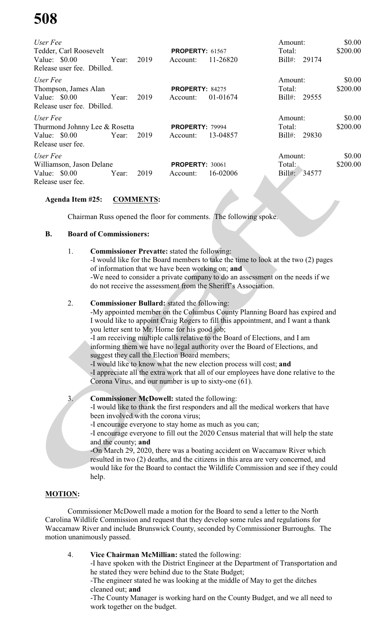| User Fee                      |       |      |                        |          | Amount:            | \$0.00   |
|-------------------------------|-------|------|------------------------|----------|--------------------|----------|
| Tedder, Carl Roosevelt        |       |      | <b>PROPERTY: 61567</b> |          | Total:             | \$200.00 |
| Value: $$0.00$                | Year: | 2019 | Account:               | 11-26820 | $Bill#$ :<br>29174 |          |
| Release user fee. Dbilled.    |       |      |                        |          |                    |          |
| User Fee                      |       |      |                        |          | Amount:            | \$0.00   |
| Thompson, James Alan          |       |      | <b>PROPERTY: 84275</b> |          | Total:             | \$200.00 |
| Value: $$0.00$                | Year: | 2019 | Account:               | 01-01674 | $Bill#$ :<br>29555 |          |
| Release user fee. Dbilled.    |       |      |                        |          |                    |          |
| User Fee                      |       |      |                        |          | Amount:            | \$0.00   |
| Thurmond Johnny Lee & Rosetta |       |      | PROPERTY: 79994        |          | Total:             | \$200.00 |
| Value: $$0.00$                | Year: | 2019 | Account:               | 13-04857 | $Bill#$ :<br>29830 |          |
| Release user fee.             |       |      |                        |          |                    |          |
| User Fee                      |       |      |                        |          | Amount:            | \$0.00   |
| Williamson, Jason Delane      |       |      | PROPERTY: 30061        |          | Total:             | \$200.00 |
| Value: $$0.00$                | Year: | 2019 | Account:               | 16-02006 | Bill#:<br>34577    |          |
| Release user fee.             |       |      |                        |          |                    |          |

### **Agenda Item #25: COMMENTS:**

Chairman Russ opened the floor for comments. The following spoke.

#### **B. Board of Commissioners:**

1. **Commissioner Prevatte:** stated the following: -I would like for the Board members to take the time to look at the two (2) pages of information that we have been working on; **and** -We need to consider a private company to do an assessment on the needs if we do not receive the assessment from the Sheriff's Association.

#### 2. **Commissioner Bullard:** stated the following:

-My appointed member on the Columbus County Planning Board has expired and I would like to appoint Craig Rogers to fill this appointment, and I want a thank you letter sent to Mr. Horne for his good job;

-I am receiving multiple calls relative to the Board of Elections, and I am informing them we have no legal authority over the Board of Elections, and suggest they call the Election Board members;

-I would like to know what the new election process will cost; **and** -I appreciate all the extra work that all of our employees have done relative to the Corona Virus, and our number is up to sixty-one (61).

#### 3. **Commissioner McDowell:** stated the following:

-I would like to thank the first responders and all the medical workers that have been involved with the corona virus;

-I encourage everyone to stay home as much as you can;

-I encourage everyone to fill out the 2020 Census material that will help the state and the county; **and**

-On March 29, 2020, there was a boating accident on Waccamaw River which resulted in two (2) deaths, and the citizens in this area are very concerned, and would like for the Board to contact the Wildlife Commission and see if they could help.

### **MOTION:**

Commissioner McDowell made a motion for the Board to send a letter to the North Carolina Wildlife Commission and request that they develop some rules and regulations for Waccamaw River and include Brunswick County, seconded by Commissioner Burroughs. The motion unanimously passed.

4. **Vice Chairman McMillian:** stated the following: -I have spoken with the District Engineer at the Department of Transportation and he stated they were behind due to the State Budget; -The engineer stated he was looking at the middle of May to get the ditches cleaned out; **and** -The County Manager is working hard on the County Budget, and we all need to work together on the budget.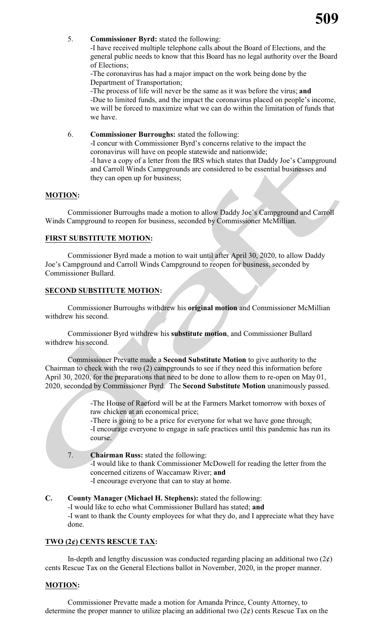

5. **Commissioner Byrd:** stated the following:

-I have received multiple telephone calls about the Board of Elections, and the general public needs to know that this Board has no legal authority over the Board of Elections;

-The coronavirus has had a major impact on the work being done by the Department of Transportation;

-The process of life will never be the same as it was before the virus; **and** -Due to limited funds, and the impact the coronavirus placed on people's income, we will be forced to maximize what we can do within the limitation of funds that we have.

6. **Commissioner Burroughs:** stated the following: -I concur with Commissioner Byrd's concerns relative to the impact the coronavirus will have on people statewide and nationwide; -I have a copy of a letter from the IRS which states that Daddy Joe's Campground and Carroll Winds Campgrounds are considered to be essential businesses and they can open up for business;

#### **MOTION:**

Commissioner Burroughs made a motion to allow Daddy Joe's Campground and Carroll Winds Campground to reopen for business, seconded by Commissioner McMillian.

#### **FIRST SUBSTITUTE MOTION:**

Commissioner Byrd made a motion to wait until after April 30, 2020, to allow Daddy Joe's Campground and Carroll Winds Campground to reopen for business, seconded by Commissioner Bullard.

#### **SECOND SUBSTITUTE MOTION:**

Commissioner Burroughs withdrew his **original motion** and Commissioner McMillian withdrew his second.

Commissioner Byrd withdrew his **substitute motion**, and Commissioner Bullard withdrew his second.

Commissioner Prevatte made a **Second Substitute Motion** to give authority to the Chairman to check with the two (2) campgrounds to see if they need this information before April 30, 2020, for the preparations that need to be done to allow them to re-open on May 01, 2020, seconded by Commissioner Byrd. The **Second Substitute Motion** unanimously passed.

> -The House of Raeford will be at the Farmers Market tomorrow with boxes of raw chicken at an economical price;

-There is going to be a price for everyone for what we have gone through; -I encourage everyone to engage in safe practices until this pandemic has run its course.

7. **Chairman Russ:** stated the following:

-I would like to thank Commissioner McDowell for reading the letter from the concerned citizens of Waccamaw River; **and**

- -I encourage everyone that can to stay at home.
- **C. County Manager (Michael H. Stephens):** stated the following: -I would like to echo what Commissioner Bullard has stated; **and** -I want to thank the County employees for what they do, and I appreciate what they have done.

#### **TWO (2¢) CENTS RESCUE TAX:**

In-depth and lengthy discussion was conducted regarding placing an additional two  $(2\ell)$ cents Rescue Tax on the General Elections ballot in November, 2020, in the proper manner.

#### **MOTION:**

Commissioner Prevatte made a motion for Amanda Prince, County Attorney, to determine the proper manner to utilize placing an additional two  $(2\ell)$  cents Rescue Tax on the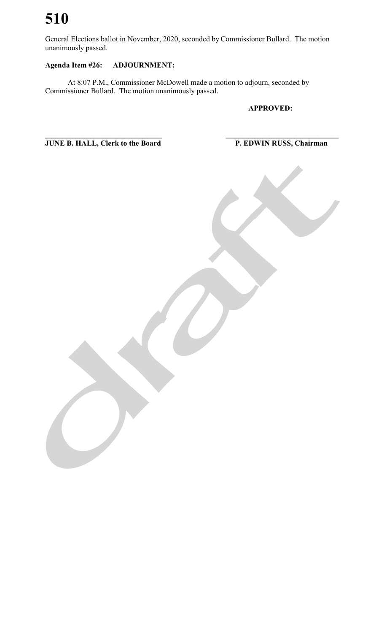General Elections ballot in November, 2020, seconded by Commissioner Bullard. The motion unanimously passed.

### **Agenda Item #26: ADJOURNMENT:**

At 8:07 P.M., Commissioner McDowell made a motion to adjourn, seconded by Commissioner Bullard. The motion unanimously passed.

**APPROVED:**

**\_\_\_\_\_\_\_\_\_\_\_\_\_\_\_\_\_\_\_\_\_\_\_\_\_\_\_\_\_\_\_ \_\_\_\_\_\_\_\_\_\_\_\_\_\_\_\_\_\_\_\_\_\_\_\_\_\_\_\_\_\_ JUNE B. HALL, Clerk to the Board P. EDWIN RUSS, Chairman**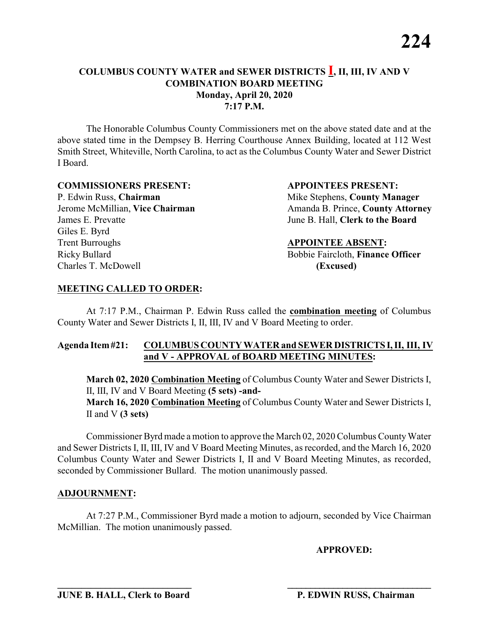The Honorable Columbus County Commissioners met on the above stated date and at the above stated time in the Dempsey B. Herring Courthouse Annex Building, located at 112 West Smith Street, Whiteville, North Carolina, to act as the Columbus County Water and Sewer District I Board.

#### **COMMISSIONERS PRESENT: APPOINTEES PRESENT:**

P. Edwin Russ, **Chairman** Mike Stephens, **County Manager** James E. Prevatte June B. Hall, **Clerk to the Board** Giles E. Byrd **Trent Burroughs**  APPOINTEE ABSENT: Ricky Bullard **Bobbie Faircloth, Finance Officer** Charles T. McDowell **(Excused)**

Jerome McMillian, **Vice Chairman** Amanda B. Prince, **County Attorney** 

#### **MEETING CALLED TO ORDER:**

At 7:17 P.M., Chairman P. Edwin Russ called the **combination meeting** of Columbus County Water and Sewer Districts I, II, III, IV and V Board Meeting to order.

#### **Agenda Item#21: COLUMBUS COUNTY WATER and SEWER DISTRICTS I, II, III, IV and V - APPROVAL of BOARD MEETING MINUTES:**

**March 02, 2020 Combination Meeting** of Columbus County Water and Sewer Districts I, II, III, IV and V Board Meeting **(5 sets) -and-March 16, 2020 Combination Meeting** of Columbus County Water and Sewer Districts I, II and V **(3 sets)**

Commissioner Byrd made a motion to approve the March 02, 2020 Columbus CountyWater and Sewer Districts I, II, III, IV and V Board Meeting Minutes, as recorded, and the March 16, 2020 Columbus County Water and Sewer Districts I, II and V Board Meeting Minutes, as recorded, seconded by Commissioner Bullard. The motion unanimously passed.

#### **ADJOURNMENT:**

At 7:27 P.M., Commissioner Byrd made a motion to adjourn, seconded by Vice Chairman McMillian. The motion unanimously passed.

**\_\_\_\_\_\_\_\_\_\_\_\_\_\_\_\_\_\_\_\_\_\_\_\_\_\_\_\_ \_\_\_\_\_\_\_\_\_\_\_\_\_\_\_\_\_\_\_\_\_\_\_\_\_\_\_\_\_\_\_**

**APPROVED:**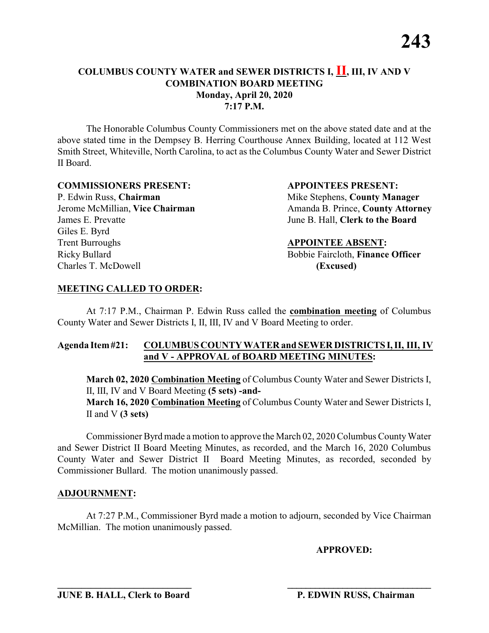The Honorable Columbus County Commissioners met on the above stated date and at the above stated time in the Dempsey B. Herring Courthouse Annex Building, located at 112 West Smith Street, Whiteville, North Carolina, to act as the Columbus County Water and Sewer District II Board.

#### **COMMISSIONERS PRESENT: APPOINTEES PRESENT:**

James E. Prevatte June B. Hall, **Clerk to the Board** Giles E. Byrd **Trent Burroughs**  APPOINTEE ABSENT: Ricky Bullard **Bobbie Faircloth, Finance Officer** Charles T. McDowell **(Excused)**

P. Edwin Russ, **Chairman** Mike Stephens, **County Manager** Jerome McMillian, **Vice Chairman** Amanda B. Prince, **County Attorney** 

#### **MEETING CALLED TO ORDER:**

At 7:17 P.M., Chairman P. Edwin Russ called the **combination meeting** of Columbus County Water and Sewer Districts I, II, III, IV and V Board Meeting to order.

#### **Agenda Item#21: COLUMBUS COUNTY WATER and SEWER DISTRICTS I, II, III, IV and V - APPROVAL of BOARD MEETING MINUTES:**

**March 02, 2020 Combination Meeting** of Columbus County Water and Sewer Districts I, II, III, IV and V Board Meeting **(5 sets) -and-March 16, 2020 Combination Meeting** of Columbus County Water and Sewer Districts I, II and V **(3 sets)**

Commissioner Byrd made a motion to approve the March 02, 2020 Columbus CountyWater and Sewer District II Board Meeting Minutes, as recorded, and the March 16, 2020 Columbus County Water and Sewer District II Board Meeting Minutes, as recorded, seconded by Commissioner Bullard. The motion unanimously passed.

#### **ADJOURNMENT:**

At 7:27 P.M., Commissioner Byrd made a motion to adjourn, seconded by Vice Chairman McMillian. The motion unanimously passed.

**\_\_\_\_\_\_\_\_\_\_\_\_\_\_\_\_\_\_\_\_\_\_\_\_\_\_\_\_ \_\_\_\_\_\_\_\_\_\_\_\_\_\_\_\_\_\_\_\_\_\_\_\_\_\_\_\_\_\_\_**

**APPROVED:**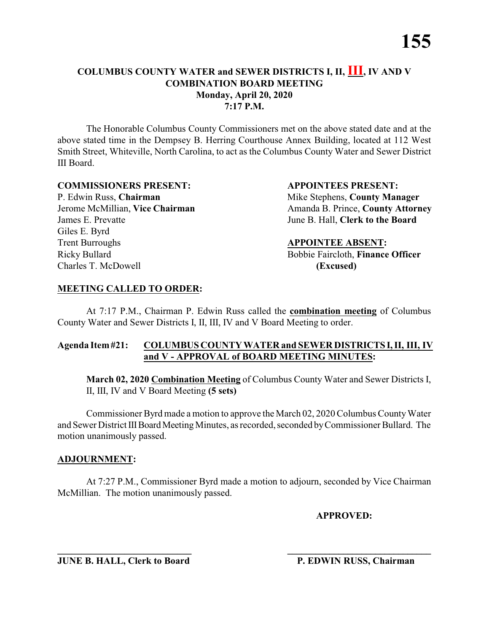The Honorable Columbus County Commissioners met on the above stated date and at the above stated time in the Dempsey B. Herring Courthouse Annex Building, located at 112 West Smith Street, Whiteville, North Carolina, to act as the Columbus County Water and Sewer District III Board.

#### **COMMISSIONERS PRESENT: APPOINTEES PRESENT:**

P. Edwin Russ, **Chairman** Mike Stephens, **County Manager** James E. Prevatte June B. Hall, **Clerk to the Board** Giles E. Byrd **Trent Burroughs <b>APPOINTEE ABSENT:** Ricky Bullard Bobbie Faircloth, **Finance Officer** Charles T. McDowell **(Excused)**

Jerome McMillian, **Vice Chairman** Amanda B. Prince, **County Attorney** 

#### **MEETING CALLED TO ORDER:**

At 7:17 P.M., Chairman P. Edwin Russ called the **combination meeting** of Columbus County Water and Sewer Districts I, II, III, IV and V Board Meeting to order.

#### **Agenda Item#21: COLUMBUS COUNTY WATER and SEWER DISTRICTS I, II, III, IV and V - APPROVAL of BOARD MEETING MINUTES:**

**March 02, 2020 Combination Meeting** of Columbus County Water and Sewer Districts I, II, III, IV and V Board Meeting **(5 sets)** 

Commissioner Byrd made a motion to approve the March 02, 2020 Columbus CountyWater and Sewer District III Board Meeting Minutes, as recorded, seconded by Commissioner Bullard. The motion unanimously passed.

#### **ADJOURNMENT:**

At 7:27 P.M., Commissioner Byrd made a motion to adjourn, seconded by Vice Chairman McMillian. The motion unanimously passed.

**APPROVED:**

**JUNE B. HALL, Clerk to Board P. EDWIN RUSS, Chairman** 

**\_\_\_\_\_\_\_\_\_\_\_\_\_\_\_\_\_\_\_\_\_\_\_\_\_\_\_\_ \_\_\_\_\_\_\_\_\_\_\_\_\_\_\_\_\_\_\_\_\_\_\_\_\_\_\_\_\_\_\_**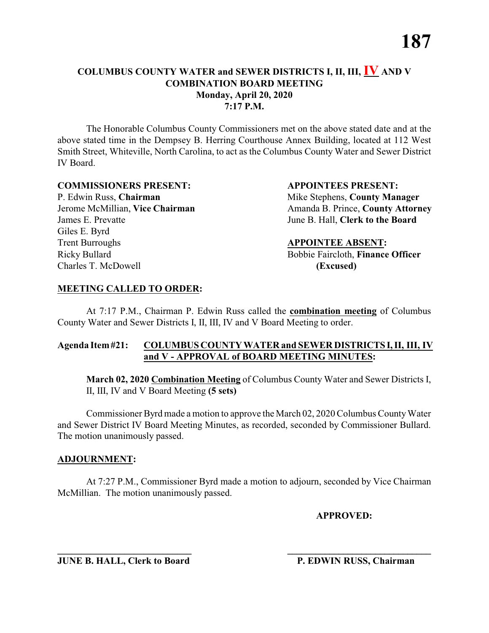The Honorable Columbus County Commissioners met on the above stated date and at the above stated time in the Dempsey B. Herring Courthouse Annex Building, located at 112 West Smith Street, Whiteville, North Carolina, to act as the Columbus County Water and Sewer District IV Board.

#### **COMMISSIONERS PRESENT: APPOINTEES PRESENT:**

P. Edwin Russ, **Chairman** Mike Stephens, **County Manager** James E. Prevatte June B. Hall, **Clerk to the Board** Giles E. Byrd **Trent Burroughs <b>APPOINTEE ABSENT:** Ricky Bullard Bobbie Faircloth, **Finance Officer** Charles T. McDowell **(Excused)**

Jerome McMillian, **Vice Chairman** Amanda B. Prince, **County Attorney** 

#### **MEETING CALLED TO ORDER:**

At 7:17 P.M., Chairman P. Edwin Russ called the **combination meeting** of Columbus County Water and Sewer Districts I, II, III, IV and V Board Meeting to order.

#### **Agenda Item#21: COLUMBUS COUNTY WATER and SEWER DISTRICTS I, II, III, IV and V - APPROVAL of BOARD MEETING MINUTES:**

**March 02, 2020 Combination Meeting** of Columbus County Water and Sewer Districts I, II, III, IV and V Board Meeting **(5 sets)** 

Commissioner Byrd made a motion to approve the March 02, 2020 Columbus CountyWater and Sewer District IV Board Meeting Minutes, as recorded, seconded by Commissioner Bullard. The motion unanimously passed.

#### **ADJOURNMENT:**

At 7:27 P.M., Commissioner Byrd made a motion to adjourn, seconded by Vice Chairman McMillian. The motion unanimously passed.

**APPROVED:**

**JUNE B. HALL, Clerk to Board P. EDWIN RUSS, Chairman** 

**\_\_\_\_\_\_\_\_\_\_\_\_\_\_\_\_\_\_\_\_\_\_\_\_\_\_\_\_ \_\_\_\_\_\_\_\_\_\_\_\_\_\_\_\_\_\_\_\_\_\_\_\_\_\_\_\_\_\_\_**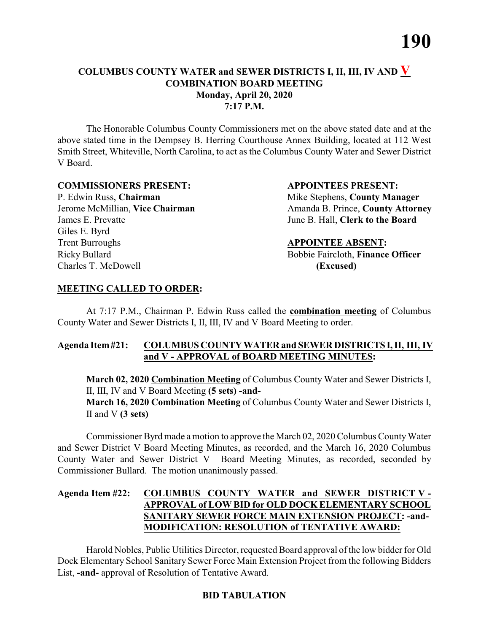The Honorable Columbus County Commissioners met on the above stated date and at the above stated time in the Dempsey B. Herring Courthouse Annex Building, located at 112 West Smith Street, Whiteville, North Carolina, to act as the Columbus County Water and Sewer District V Board.

#### **COMMISSIONERS PRESENT: APPOINTEES PRESENT:**

James E. Prevatte June B. Hall, **Clerk to the Board** Giles E. Byrd **Trent Burroughs <b>APPOINTEE ABSENT:** Ricky Bullard **Bobbie Faircloth, Finance Officer** Charles T. McDowell **(Excused)**

P. Edwin Russ, **Chairman** Mike Stephens, **County Manager** Jerome McMillian, **Vice Chairman** Amanda B. Prince, **County Attorney** 

#### **MEETING CALLED TO ORDER:**

At 7:17 P.M., Chairman P. Edwin Russ called the **combination meeting** of Columbus County Water and Sewer Districts I, II, III, IV and V Board Meeting to order.

#### **Agenda Item#21: COLUMBUS COUNTY WATER and SEWER DISTRICTS I, II, III, IV and V - APPROVAL of BOARD MEETING MINUTES:**

**March 02, 2020 Combination Meeting** of Columbus County Water and Sewer Districts I, II, III, IV and V Board Meeting **(5 sets) -and-March 16, 2020 Combination Meeting** of Columbus County Water and Sewer Districts I, II and V **(3 sets)**

Commissioner Byrd made a motion to approve the March 02, 2020 Columbus CountyWater and Sewer District V Board Meeting Minutes, as recorded, and the March 16, 2020 Columbus County Water and Sewer District V Board Meeting Minutes, as recorded, seconded by Commissioner Bullard. The motion unanimously passed.

#### **Agenda Item #22: COLUMBUS COUNTY WATER and SEWER DISTRICT V - APPROVAL of LOW BID for OLD DOCK ELEMENTARY SCHOOL SANITARY SEWER FORCE MAIN EXTENSION PROJECT: -and-MODIFICATION: RESOLUTION of TENTATIVE AWARD:**

Harold Nobles, Public Utilities Director, requested Board approval of the low bidder for Old Dock Elementary School Sanitary Sewer Force Main Extension Project from the following Bidders List, **-and-** approval of Resolution of Tentative Award.

#### **BID TABULATION**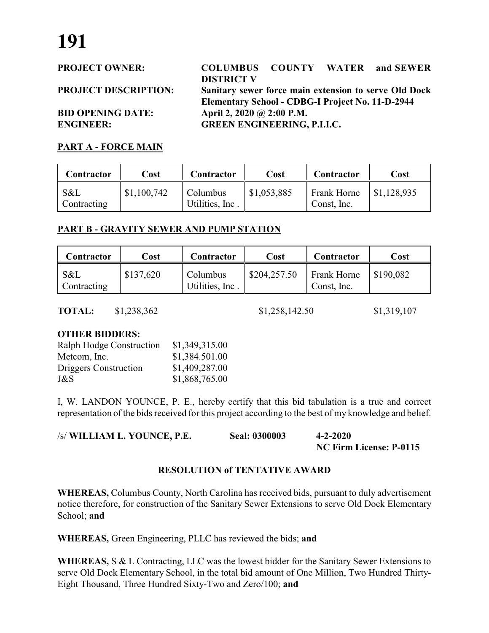**PROJECT OWNER: COLUMBUS COUNTY WATER and SEWER DISTRICT V PROJECT DESCRIPTION: Sanitary sewer force main extension to serve Old Dock Elementary School - CDBG-I Project No. 11-D-2944 BID OPENING DATE: April 2, 2020 @ 2:00 P.M. ENGINEER: GREEN ENGINEERING, P.I.I.C.**

#### **PART A - FORCE MAIN**

| Contractor         | Cost        | Contractor                  | Cost        | Contractor                 | Cost        |
|--------------------|-------------|-----------------------------|-------------|----------------------------|-------------|
| S&L<br>Contracting | \$1,100,742 | Columbus<br>Utilities, Inc. | \$1,053,885 | Frank Horne<br>Const, Inc. | \$1,128,935 |

#### **PART B - GRAVITY SEWER AND PUMP STATION**

| Contractor         | Cost      | Contractor                  | Cost         | Contractor                        | Cost      |
|--------------------|-----------|-----------------------------|--------------|-----------------------------------|-----------|
| S&L<br>Contracting | \$137,620 | Columbus<br>Utilities, Inc. | \$204,257.50 | <b>Frank Horne</b><br>Const, Inc. | \$190,082 |

**TOTAL:** \$1,238,362 \$1,258,142.50 \$1,319,107

#### **OTHER BIDDERS:**

| Ralph Hodge Construction | \$1,349,315.00 |
|--------------------------|----------------|
| Metcom, Inc.             | \$1,384.501.00 |
| Driggers Construction    | \$1,409,287.00 |
| J&S                      | \$1,868,765.00 |

I, W. LANDON YOUNCE, P. E., hereby certify that this bid tabulation is a true and correct representation of the bids received for this project according to the best of my knowledge and belief.

| /s/ WILLIAM L. YOUNCE, P.E. | <b>Seal: 0300003</b> | $4 - 2 - 2020$          |
|-----------------------------|----------------------|-------------------------|
|                             |                      | NC Firm License: P-0115 |

#### **RESOLUTION of TENTATIVE AWARD**

**WHEREAS,** Columbus County, North Carolina has received bids, pursuant to duly advertisement notice therefore, for construction of the Sanitary Sewer Extensions to serve Old Dock Elementary School; **and**

**WHEREAS,** Green Engineering, PLLC has reviewed the bids; **and**

**WHEREAS,** S & L Contracting, LLC was the lowest bidder for the Sanitary Sewer Extensions to serve Old Dock Elementary School, in the total bid amount of One Million, Two Hundred Thirty-Eight Thousand, Three Hundred Sixty-Two and Zero/100; **and**